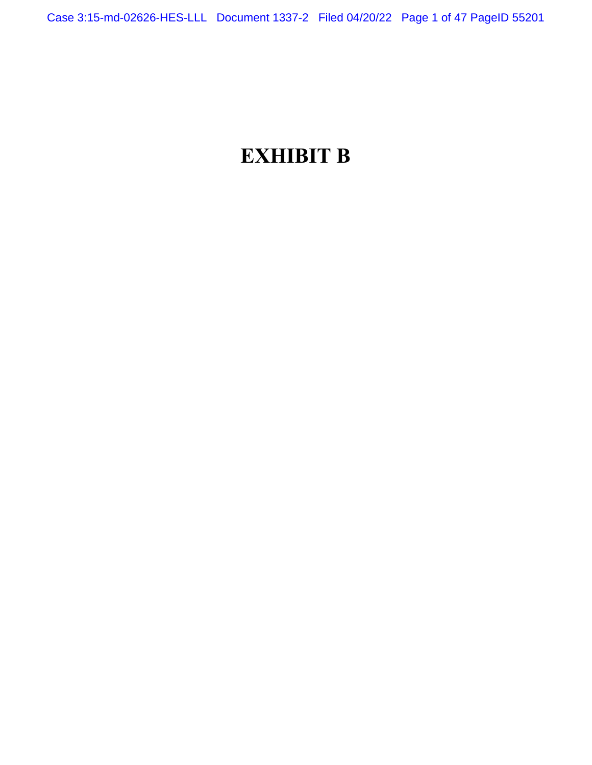# **EXHIBIT B**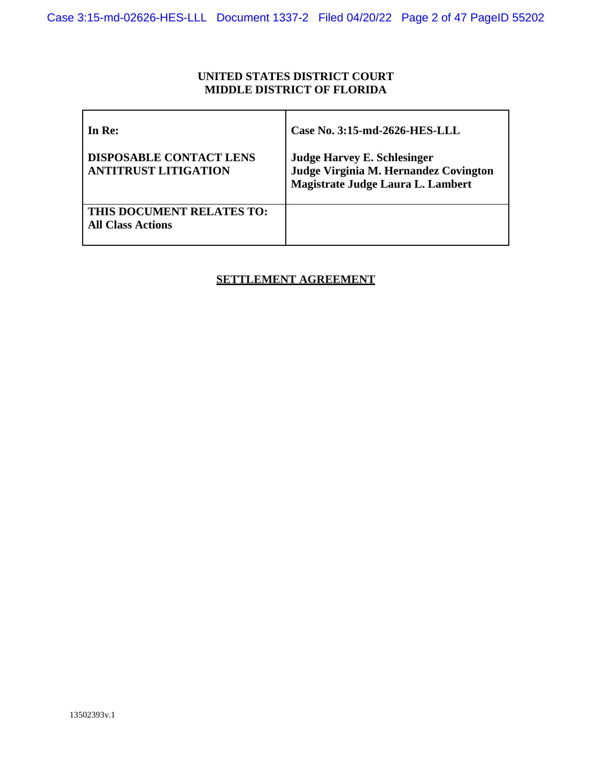# **UNITED STATES DISTRICT COURT MIDDLE DISTRICT OF FLORIDA**

| In Re:                                                        | Case No. 3:15-md-2626-HES-LLL                                                                                    |
|---------------------------------------------------------------|------------------------------------------------------------------------------------------------------------------|
| <b>DISPOSABLE CONTACT LENS</b><br><b>ANTITRUST LITIGATION</b> | <b>Judge Harvey E. Schlesinger</b><br>Judge Virginia M. Hernandez Covington<br>Magistrate Judge Laura L. Lambert |
| THIS DOCUMENT RELATES TO:<br><b>All Class Actions</b>         |                                                                                                                  |

# **SETTLEMENT AGREEMENT**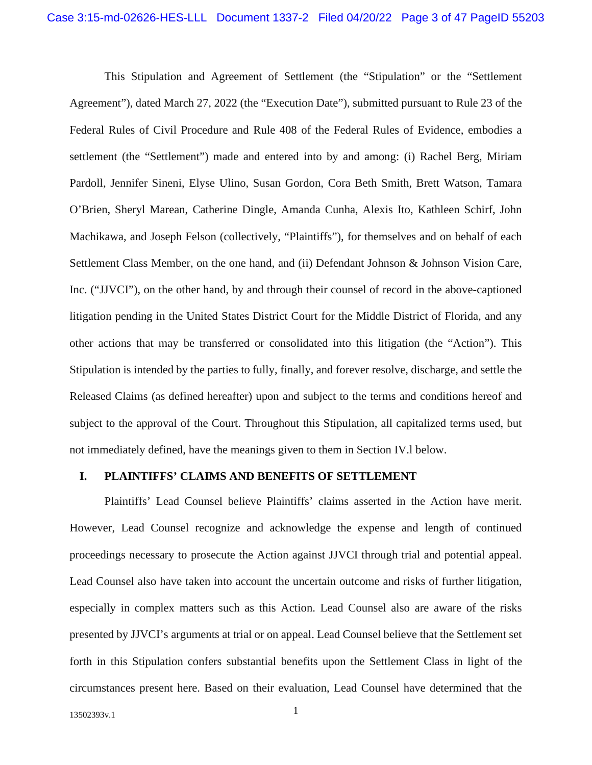This Stipulation and Agreement of Settlement (the "Stipulation" or the "Settlement Agreement"), dated March 27, 2022 (the "Execution Date"), submitted pursuant to Rule 23 of the Federal Rules of Civil Procedure and Rule 408 of the Federal Rules of Evidence, embodies a settlement (the "Settlement") made and entered into by and among: (i) Rachel Berg, Miriam Pardoll, Jennifer Sineni, Elyse Ulino, Susan Gordon, Cora Beth Smith, Brett Watson, Tamara O'Brien, Sheryl Marean, Catherine Dingle, Amanda Cunha, Alexis Ito, Kathleen Schirf, John Machikawa, and Joseph Felson (collectively, "Plaintiffs"), for themselves and on behalf of each Settlement Class Member, on the one hand, and (ii) Defendant Johnson & Johnson Vision Care, Inc. ("JJVCI"), on the other hand, by and through their counsel of record in the above-captioned litigation pending in the United States District Court for the Middle District of Florida, and any other actions that may be transferred or consolidated into this litigation (the "Action"). This Stipulation is intended by the parties to fully, finally, and forever resolve, discharge, and settle the Released Claims (as defined hereafter) upon and subject to the terms and conditions hereof and subject to the approval of the Court. Throughout this Stipulation, all capitalized terms used, but not immediately defined, have the meanings given to them in Section IV.l below.

#### **I. PLAINTIFFS' CLAIMS AND BENEFITS OF SETTLEMENT**

Plaintiffs' Lead Counsel believe Plaintiffs' claims asserted in the Action have merit. However, Lead Counsel recognize and acknowledge the expense and length of continued proceedings necessary to prosecute the Action against JJVCI through trial and potential appeal. Lead Counsel also have taken into account the uncertain outcome and risks of further litigation, especially in complex matters such as this Action. Lead Counsel also are aware of the risks presented by JJVCI's arguments at trial or on appeal. Lead Counsel believe that the Settlement set forth in this Stipulation confers substantial benefits upon the Settlement Class in light of the circumstances present here. Based on their evaluation, Lead Counsel have determined that the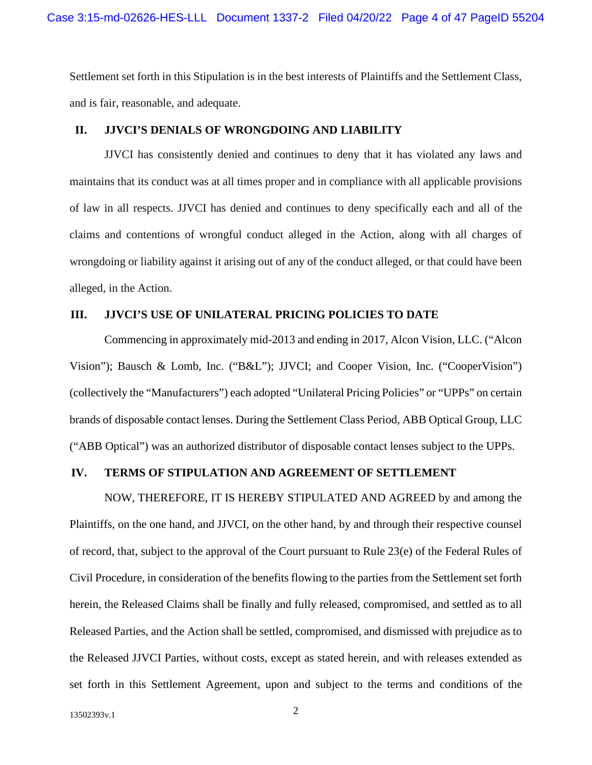Settlement set forth in this Stipulation is in the best interests of Plaintiffs and the Settlement Class, and is fair, reasonable, and adequate.

#### **II. JJVCI'S DENIALS OF WRONGDOING AND LIABILITY**

JJVCI has consistently denied and continues to deny that it has violated any laws and maintains that its conduct was at all times proper and in compliance with all applicable provisions of law in all respects. JJVCI has denied and continues to deny specifically each and all of the claims and contentions of wrongful conduct alleged in the Action, along with all charges of wrongdoing or liability against it arising out of any of the conduct alleged, or that could have been alleged, in the Action.

#### **III. JJVCI'S USE OF UNILATERAL PRICING POLICIES TO DATE**

Commencing in approximately mid-2013 and ending in 2017, Alcon Vision, LLC. ("Alcon Vision"); Bausch & Lomb, Inc. ("B&L"); JJVCI; and Cooper Vision, Inc. ("CooperVision") (collectively the "Manufacturers") each adopted "Unilateral Pricing Policies" or "UPPs" on certain brands of disposable contact lenses. During the Settlement Class Period, ABB Optical Group, LLC ("ABB Optical") was an authorized distributor of disposable contact lenses subject to the UPPs.

#### **IV. TERMS OF STIPULATION AND AGREEMENT OF SETTLEMENT**

NOW, THEREFORE, IT IS HEREBY STIPULATED AND AGREED by and among the Plaintiffs, on the one hand, and JJVCI, on the other hand, by and through their respective counsel of record, that, subject to the approval of the Court pursuant to Rule 23(e) of the Federal Rules of Civil Procedure, in consideration of the benefits flowing to the parties from the Settlement set forth herein, the Released Claims shall be finally and fully released, compromised, and settled as to all Released Parties, and the Action shall be settled, compromised, and dismissed with prejudice as to the Released JJVCI Parties, without costs, except as stated herein, and with releases extended as set forth in this Settlement Agreement, upon and subject to the terms and conditions of the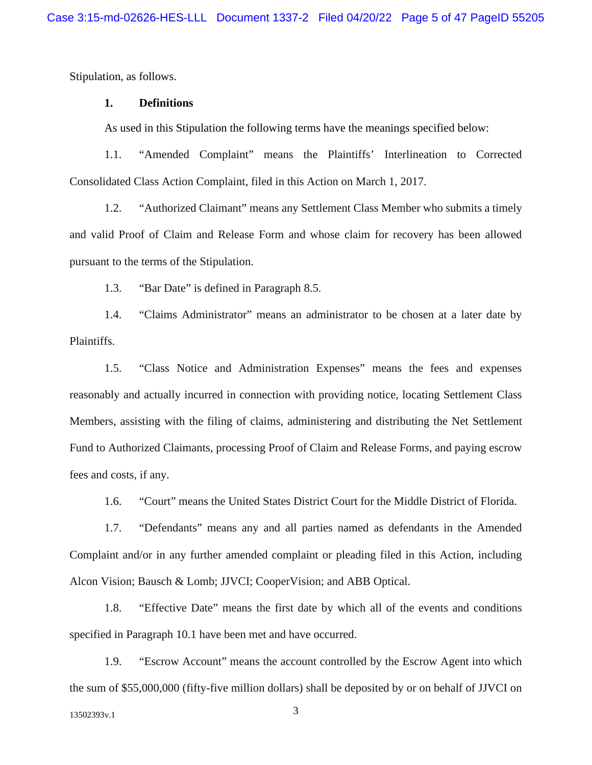Stipulation, as follows.

#### **1. Definitions**

As used in this Stipulation the following terms have the meanings specified below:

1.1. "Amended Complaint" means the Plaintiffs' Interlineation to Corrected Consolidated Class Action Complaint, filed in this Action on March 1, 2017.

1.2. "Authorized Claimant" means any Settlement Class Member who submits a timely and valid Proof of Claim and Release Form and whose claim for recovery has been allowed pursuant to the terms of the Stipulation.

1.3. "Bar Date" is defined in Paragraph 8.5.

1.4. "Claims Administrator" means an administrator to be chosen at a later date by Plaintiffs.

1.5. "Class Notice and Administration Expenses" means the fees and expenses reasonably and actually incurred in connection with providing notice, locating Settlement Class Members, assisting with the filing of claims, administering and distributing the Net Settlement Fund to Authorized Claimants, processing Proof of Claim and Release Forms, and paying escrow fees and costs, if any.

1.6. "Court" means the United States District Court for the Middle District of Florida.

1.7. "Defendants" means any and all parties named as defendants in the Amended Complaint and/or in any further amended complaint or pleading filed in this Action, including Alcon Vision; Bausch & Lomb; JJVCI; CooperVision; and ABB Optical.

1.8. "Effective Date" means the first date by which all of the events and conditions specified in Paragraph 10.1 have been met and have occurred.

1.9. "Escrow Account" means the account controlled by the Escrow Agent into which the sum of \$55,000,000 (fifty-five million dollars) shall be deposited by or on behalf of JJVCI on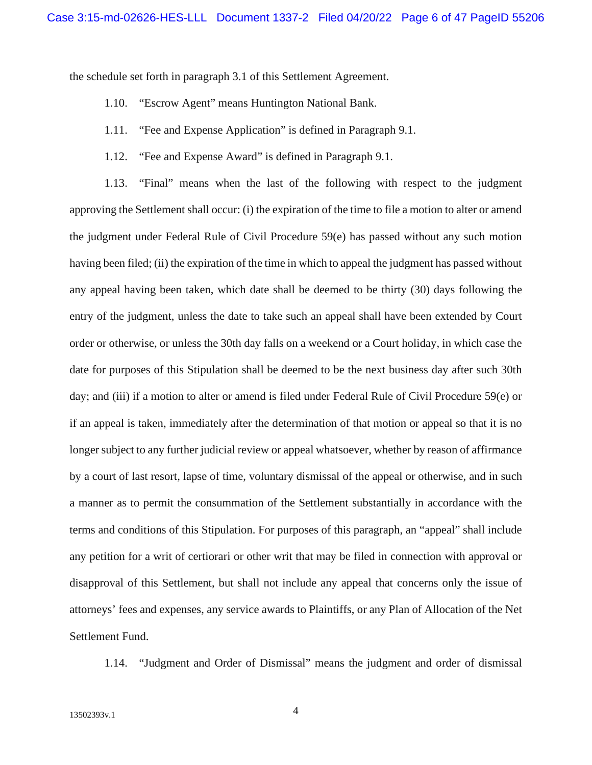the schedule set forth in paragraph 3.1 of this Settlement Agreement.

- 1.10. "Escrow Agent" means Huntington National Bank.
- 1.11. "Fee and Expense Application" is defined in Paragraph 9.1.
- 1.12. "Fee and Expense Award" is defined in Paragraph 9.1.

1.13. "Final" means when the last of the following with respect to the judgment approving the Settlement shall occur: (i) the expiration of the time to file a motion to alter or amend the judgment under Federal Rule of Civil Procedure 59(e) has passed without any such motion having been filed; (ii) the expiration of the time in which to appeal the judgment has passed without any appeal having been taken, which date shall be deemed to be thirty (30) days following the entry of the judgment, unless the date to take such an appeal shall have been extended by Court order or otherwise, or unless the 30th day falls on a weekend or a Court holiday, in which case the date for purposes of this Stipulation shall be deemed to be the next business day after such 30th day; and (iii) if a motion to alter or amend is filed under Federal Rule of Civil Procedure 59(e) or if an appeal is taken, immediately after the determination of that motion or appeal so that it is no longer subject to any further judicial review or appeal whatsoever, whether by reason of affirmance by a court of last resort, lapse of time, voluntary dismissal of the appeal or otherwise, and in such a manner as to permit the consummation of the Settlement substantially in accordance with the terms and conditions of this Stipulation. For purposes of this paragraph, an "appeal" shall include any petition for a writ of certiorari or other writ that may be filed in connection with approval or disapproval of this Settlement, but shall not include any appeal that concerns only the issue of attorneys' fees and expenses, any service awards to Plaintiffs, or any Plan of Allocation of the Net Settlement Fund.

1.14. "Judgment and Order of Dismissal" means the judgment and order of dismissal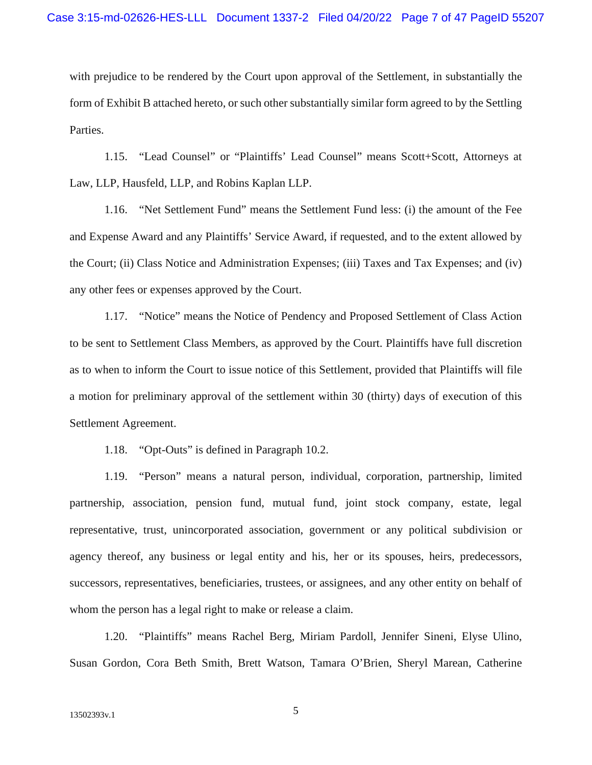with prejudice to be rendered by the Court upon approval of the Settlement, in substantially the form of Exhibit B attached hereto, or such other substantially similar form agreed to by the Settling Parties.

1.15. "Lead Counsel" or "Plaintiffs' Lead Counsel" means Scott+Scott, Attorneys at Law, LLP, Hausfeld, LLP, and Robins Kaplan LLP.

1.16. "Net Settlement Fund" means the Settlement Fund less: (i) the amount of the Fee and Expense Award and any Plaintiffs' Service Award, if requested, and to the extent allowed by the Court; (ii) Class Notice and Administration Expenses; (iii) Taxes and Tax Expenses; and (iv) any other fees or expenses approved by the Court.

1.17. "Notice" means the Notice of Pendency and Proposed Settlement of Class Action to be sent to Settlement Class Members, as approved by the Court. Plaintiffs have full discretion as to when to inform the Court to issue notice of this Settlement, provided that Plaintiffs will file a motion for preliminary approval of the settlement within 30 (thirty) days of execution of this Settlement Agreement.

1.18. "Opt-Outs" is defined in Paragraph 10.2.

1.19. "Person" means a natural person, individual, corporation, partnership, limited partnership, association, pension fund, mutual fund, joint stock company, estate, legal representative, trust, unincorporated association, government or any political subdivision or agency thereof, any business or legal entity and his, her or its spouses, heirs, predecessors, successors, representatives, beneficiaries, trustees, or assignees, and any other entity on behalf of whom the person has a legal right to make or release a claim.

1.20. "Plaintiffs" means Rachel Berg, Miriam Pardoll, Jennifer Sineni, Elyse Ulino, Susan Gordon, Cora Beth Smith, Brett Watson, Tamara O'Brien, Sheryl Marean, Catherine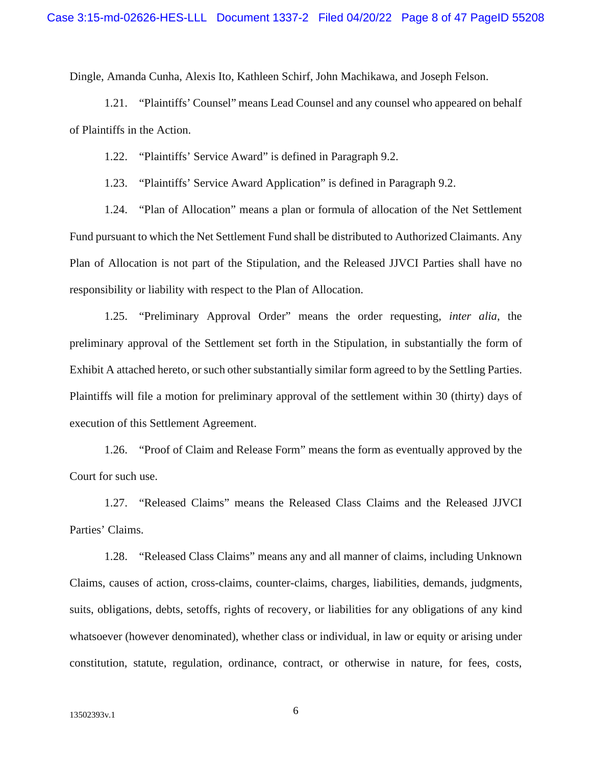Dingle, Amanda Cunha, Alexis Ito, Kathleen Schirf, John Machikawa, and Joseph Felson.

1.21. "Plaintiffs' Counsel" means Lead Counsel and any counsel who appeared on behalf of Plaintiffs in the Action.

1.22. "Plaintiffs' Service Award" is defined in Paragraph 9.2.

1.23. "Plaintiffs' Service Award Application" is defined in Paragraph 9.2.

1.24. "Plan of Allocation" means a plan or formula of allocation of the Net Settlement Fund pursuant to which the Net Settlement Fund shall be distributed to Authorized Claimants. Any Plan of Allocation is not part of the Stipulation, and the Released JJVCI Parties shall have no responsibility or liability with respect to the Plan of Allocation.

1.25. "Preliminary Approval Order" means the order requesting, *inter alia*, the preliminary approval of the Settlement set forth in the Stipulation, in substantially the form of Exhibit A attached hereto, or such other substantially similar form agreed to by the Settling Parties. Plaintiffs will file a motion for preliminary approval of the settlement within 30 (thirty) days of execution of this Settlement Agreement.

1.26. "Proof of Claim and Release Form" means the form as eventually approved by the Court for such use.

1.27. "Released Claims" means the Released Class Claims and the Released JJVCI Parties' Claims.

1.28. "Released Class Claims" means any and all manner of claims, including Unknown Claims, causes of action, cross-claims, counter-claims, charges, liabilities, demands, judgments, suits, obligations, debts, setoffs, rights of recovery, or liabilities for any obligations of any kind whatsoever (however denominated), whether class or individual, in law or equity or arising under constitution, statute, regulation, ordinance, contract, or otherwise in nature, for fees, costs,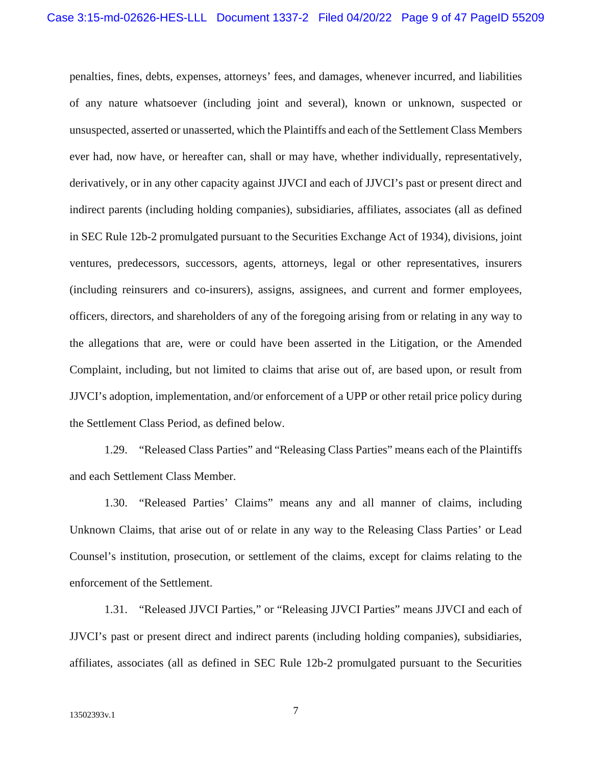penalties, fines, debts, expenses, attorneys' fees, and damages, whenever incurred, and liabilities of any nature whatsoever (including joint and several), known or unknown, suspected or unsuspected, asserted or unasserted, which the Plaintiffs and each of the Settlement Class Members ever had, now have, or hereafter can, shall or may have, whether individually, representatively, derivatively, or in any other capacity against JJVCI and each of JJVCI's past or present direct and indirect parents (including holding companies), subsidiaries, affiliates, associates (all as defined in SEC Rule 12b-2 promulgated pursuant to the Securities Exchange Act of 1934), divisions, joint ventures, predecessors, successors, agents, attorneys, legal or other representatives, insurers (including reinsurers and co-insurers), assigns, assignees, and current and former employees, officers, directors, and shareholders of any of the foregoing arising from or relating in any way to the allegations that are, were or could have been asserted in the Litigation, or the Amended Complaint, including, but not limited to claims that arise out of, are based upon, or result from JJVCI's adoption, implementation, and/or enforcement of a UPP or other retail price policy during the Settlement Class Period, as defined below.

1.29. "Released Class Parties" and "Releasing Class Parties" means each of the Plaintiffs and each Settlement Class Member.

1.30. "Released Parties' Claims" means any and all manner of claims, including Unknown Claims, that arise out of or relate in any way to the Releasing Class Parties' or Lead Counsel's institution, prosecution, or settlement of the claims, except for claims relating to the enforcement of the Settlement.

1.31. "Released JJVCI Parties," or "Releasing JJVCI Parties" means JJVCI and each of JJVCI's past or present direct and indirect parents (including holding companies), subsidiaries, affiliates, associates (all as defined in SEC Rule 12b-2 promulgated pursuant to the Securities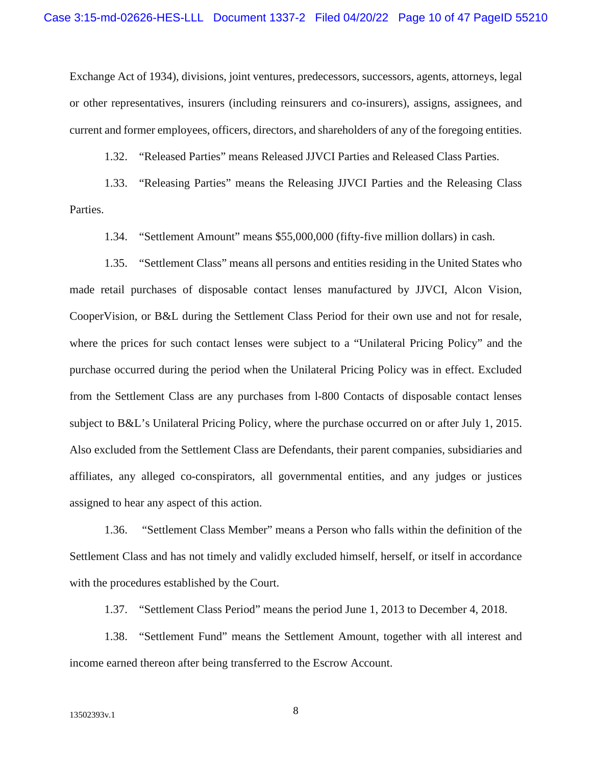Exchange Act of 1934), divisions, joint ventures, predecessors, successors, agents, attorneys, legal or other representatives, insurers (including reinsurers and co-insurers), assigns, assignees, and current and former employees, officers, directors, and shareholders of any of the foregoing entities.

1.32. "Released Parties" means Released JJVCI Parties and Released Class Parties.

1.33. "Releasing Parties" means the Releasing JJVCI Parties and the Releasing Class Parties.

1.34. "Settlement Amount" means \$55,000,000 (fifty-five million dollars) in cash.

1.35. "Settlement Class" means all persons and entities residing in the United States who made retail purchases of disposable contact lenses manufactured by JJVCI, Alcon Vision, CooperVision, or B&L during the Settlement Class Period for their own use and not for resale, where the prices for such contact lenses were subject to a "Unilateral Pricing Policy" and the purchase occurred during the period when the Unilateral Pricing Policy was in effect. Excluded from the Settlement Class are any purchases from l-800 Contacts of disposable contact lenses subject to B&L's Unilateral Pricing Policy, where the purchase occurred on or after July 1, 2015. Also excluded from the Settlement Class are Defendants, their parent companies, subsidiaries and affiliates, any alleged co-conspirators, all governmental entities, and any judges or justices assigned to hear any aspect of this action.

1.36. "Settlement Class Member" means a Person who falls within the definition of the Settlement Class and has not timely and validly excluded himself, herself, or itself in accordance with the procedures established by the Court.

1.37. "Settlement Class Period" means the period June 1, 2013 to December 4, 2018.

1.38. "Settlement Fund" means the Settlement Amount, together with all interest and income earned thereon after being transferred to the Escrow Account.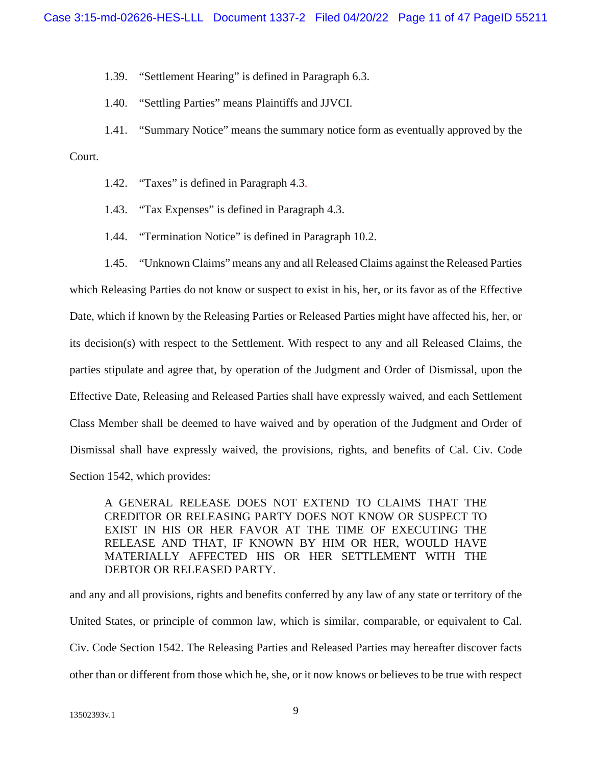1.39. "Settlement Hearing" is defined in Paragraph 6.3.

1.40. "Settling Parties" means Plaintiffs and JJVCI.

1.41. "Summary Notice" means the summary notice form as eventually approved by the

Court.

- 1.42. "Taxes" is defined in Paragraph 4.3.
- 1.43. "Tax Expenses" is defined in Paragraph 4.3.
- 1.44. "Termination Notice" is defined in Paragraph 10.2.

1.45. "Unknown Claims" means any and all Released Claims against the Released Parties which Releasing Parties do not know or suspect to exist in his, her, or its favor as of the Effective Date, which if known by the Releasing Parties or Released Parties might have affected his, her, or its decision(s) with respect to the Settlement. With respect to any and all Released Claims, the parties stipulate and agree that, by operation of the Judgment and Order of Dismissal, upon the Effective Date, Releasing and Released Parties shall have expressly waived, and each Settlement Class Member shall be deemed to have waived and by operation of the Judgment and Order of Dismissal shall have expressly waived, the provisions, rights, and benefits of Cal. Civ. Code Section 1542, which provides:

A GENERAL RELEASE DOES NOT EXTEND TO CLAIMS THAT THE CREDITOR OR RELEASING PARTY DOES NOT KNOW OR SUSPECT TO EXIST IN HIS OR HER FAVOR AT THE TIME OF EXECUTING THE RELEASE AND THAT, IF KNOWN BY HIM OR HER, WOULD HAVE MATERIALLY AFFECTED HIS OR HER SETTLEMENT WITH THE DEBTOR OR RELEASED PARTY.

and any and all provisions, rights and benefits conferred by any law of any state or territory of the United States, or principle of common law, which is similar, comparable, or equivalent to Cal. Civ. Code Section 1542. The Releasing Parties and Released Parties may hereafter discover facts other than or different from those which he, she, or it now knows or believes to be true with respect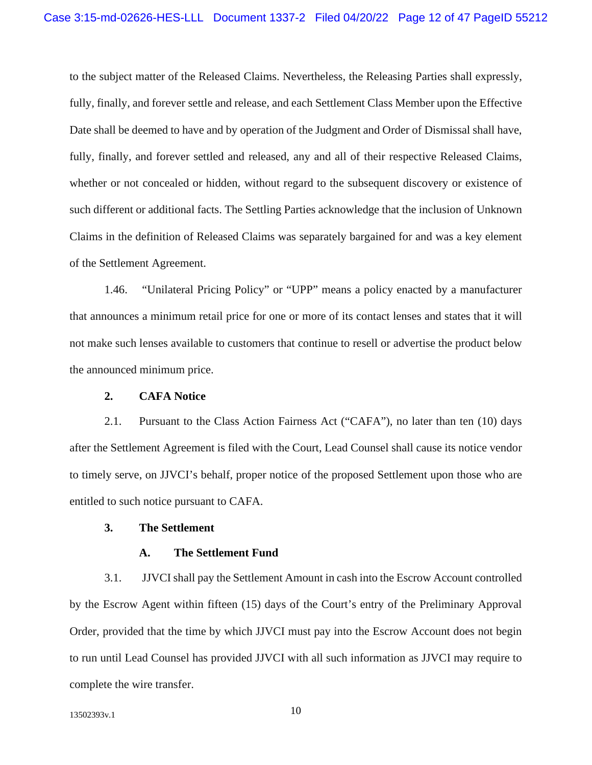to the subject matter of the Released Claims. Nevertheless, the Releasing Parties shall expressly, fully, finally, and forever settle and release, and each Settlement Class Member upon the Effective Date shall be deemed to have and by operation of the Judgment and Order of Dismissal shall have, fully, finally, and forever settled and released, any and all of their respective Released Claims, whether or not concealed or hidden, without regard to the subsequent discovery or existence of such different or additional facts. The Settling Parties acknowledge that the inclusion of Unknown Claims in the definition of Released Claims was separately bargained for and was a key element of the Settlement Agreement.

1.46. "Unilateral Pricing Policy" or "UPP" means a policy enacted by a manufacturer that announces a minimum retail price for one or more of its contact lenses and states that it will not make such lenses available to customers that continue to resell or advertise the product below the announced minimum price.

#### **2. CAFA Notice**

2.1. Pursuant to the Class Action Fairness Act ("CAFA"), no later than ten (10) days after the Settlement Agreement is filed with the Court, Lead Counsel shall cause its notice vendor to timely serve, on JJVCI's behalf, proper notice of the proposed Settlement upon those who are entitled to such notice pursuant to CAFA.

#### **3. The Settlement**

#### **A. The Settlement Fund**

3.1. JJVCI shall pay the Settlement Amount in cash into the Escrow Account controlled by the Escrow Agent within fifteen (15) days of the Court's entry of the Preliminary Approval Order, provided that the time by which JJVCI must pay into the Escrow Account does not begin to run until Lead Counsel has provided JJVCI with all such information as JJVCI may require to complete the wire transfer.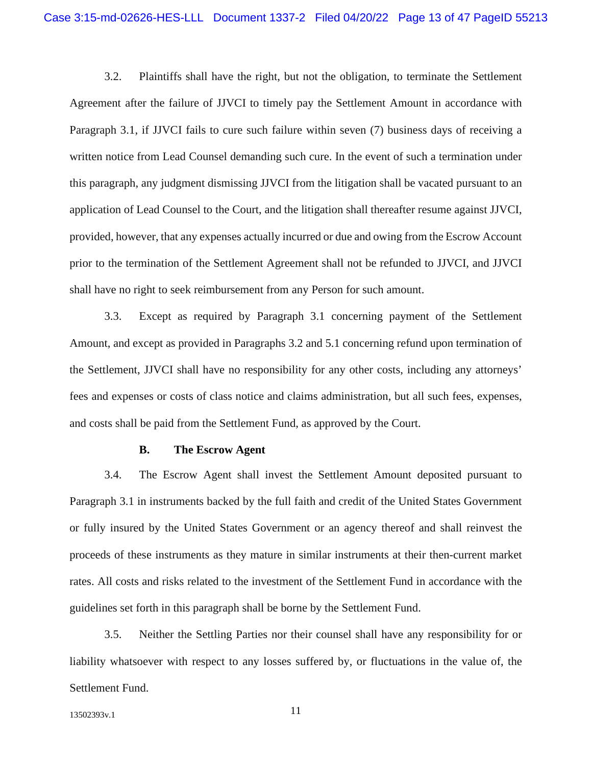3.2. Plaintiffs shall have the right, but not the obligation, to terminate the Settlement Agreement after the failure of JJVCI to timely pay the Settlement Amount in accordance with Paragraph 3.1, if JJVCI fails to cure such failure within seven (7) business days of receiving a written notice from Lead Counsel demanding such cure. In the event of such a termination under this paragraph, any judgment dismissing JJVCI from the litigation shall be vacated pursuant to an application of Lead Counsel to the Court, and the litigation shall thereafter resume against JJVCI, provided, however, that any expenses actually incurred or due and owing from the Escrow Account prior to the termination of the Settlement Agreement shall not be refunded to JJVCI, and JJVCI shall have no right to seek reimbursement from any Person for such amount.

3.3. Except as required by Paragraph 3.1 concerning payment of the Settlement Amount, and except as provided in Paragraphs 3.2 and 5.1 concerning refund upon termination of the Settlement, JJVCI shall have no responsibility for any other costs, including any attorneys' fees and expenses or costs of class notice and claims administration, but all such fees, expenses, and costs shall be paid from the Settlement Fund, as approved by the Court.

#### **B. The Escrow Agent**

3.4. The Escrow Agent shall invest the Settlement Amount deposited pursuant to Paragraph 3.1 in instruments backed by the full faith and credit of the United States Government or fully insured by the United States Government or an agency thereof and shall reinvest the proceeds of these instruments as they mature in similar instruments at their then-current market rates. All costs and risks related to the investment of the Settlement Fund in accordance with the guidelines set forth in this paragraph shall be borne by the Settlement Fund.

3.5. Neither the Settling Parties nor their counsel shall have any responsibility for or liability whatsoever with respect to any losses suffered by, or fluctuations in the value of, the Settlement Fund.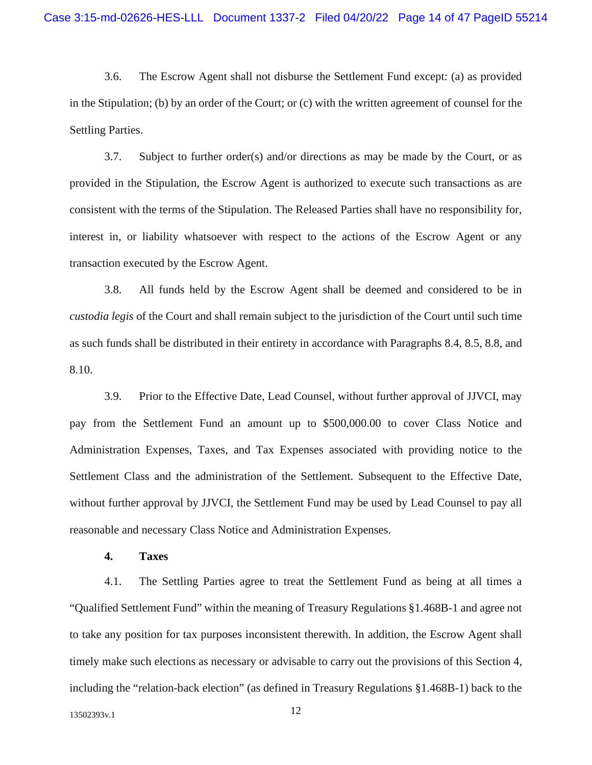3.6. The Escrow Agent shall not disburse the Settlement Fund except: (a) as provided in the Stipulation; (b) by an order of the Court; or (c) with the written agreement of counsel for the Settling Parties.

3.7. Subject to further order(s) and/or directions as may be made by the Court, or as provided in the Stipulation, the Escrow Agent is authorized to execute such transactions as are consistent with the terms of the Stipulation. The Released Parties shall have no responsibility for, interest in, or liability whatsoever with respect to the actions of the Escrow Agent or any transaction executed by the Escrow Agent.

3.8. All funds held by the Escrow Agent shall be deemed and considered to be in *custodia legis* of the Court and shall remain subject to the jurisdiction of the Court until such time as such funds shall be distributed in their entirety in accordance with Paragraphs 8.4, 8.5, 8.8, and 8.10.

3.9. Prior to the Effective Date, Lead Counsel, without further approval of JJVCI, may pay from the Settlement Fund an amount up to \$500,000.00 to cover Class Notice and Administration Expenses, Taxes, and Tax Expenses associated with providing notice to the Settlement Class and the administration of the Settlement. Subsequent to the Effective Date, without further approval by JJVCI, the Settlement Fund may be used by Lead Counsel to pay all reasonable and necessary Class Notice and Administration Expenses.

#### **4. Taxes**

4.1. The Settling Parties agree to treat the Settlement Fund as being at all times a "Qualified Settlement Fund" within the meaning of Treasury Regulations §1.468B-1 and agree not to take any position for tax purposes inconsistent therewith. In addition, the Escrow Agent shall timely make such elections as necessary or advisable to carry out the provisions of this Section 4, including the "relation-back election" (as defined in Treasury Regulations §1.468B-1) back to the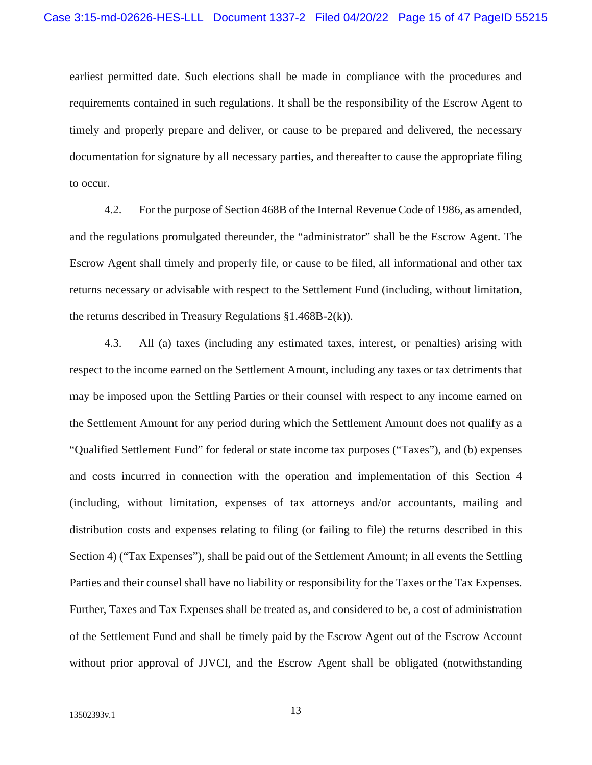earliest permitted date. Such elections shall be made in compliance with the procedures and requirements contained in such regulations. It shall be the responsibility of the Escrow Agent to timely and properly prepare and deliver, or cause to be prepared and delivered, the necessary documentation for signature by all necessary parties, and thereafter to cause the appropriate filing to occur.

4.2. For the purpose of Section 468B of the Internal Revenue Code of 1986, as amended, and the regulations promulgated thereunder, the "administrator" shall be the Escrow Agent. The Escrow Agent shall timely and properly file, or cause to be filed, all informational and other tax returns necessary or advisable with respect to the Settlement Fund (including, without limitation, the returns described in Treasury Regulations §1.468B-2(k)).

4.3. All (a) taxes (including any estimated taxes, interest, or penalties) arising with respect to the income earned on the Settlement Amount, including any taxes or tax detriments that may be imposed upon the Settling Parties or their counsel with respect to any income earned on the Settlement Amount for any period during which the Settlement Amount does not qualify as a "Qualified Settlement Fund" for federal or state income tax purposes ("Taxes"), and (b) expenses and costs incurred in connection with the operation and implementation of this Section 4 (including, without limitation, expenses of tax attorneys and/or accountants, mailing and distribution costs and expenses relating to filing (or failing to file) the returns described in this Section 4) ("Tax Expenses"), shall be paid out of the Settlement Amount; in all events the Settling Parties and their counsel shall have no liability or responsibility for the Taxes or the Tax Expenses. Further, Taxes and Tax Expenses shall be treated as, and considered to be, a cost of administration of the Settlement Fund and shall be timely paid by the Escrow Agent out of the Escrow Account without prior approval of JJVCI, and the Escrow Agent shall be obligated (notwithstanding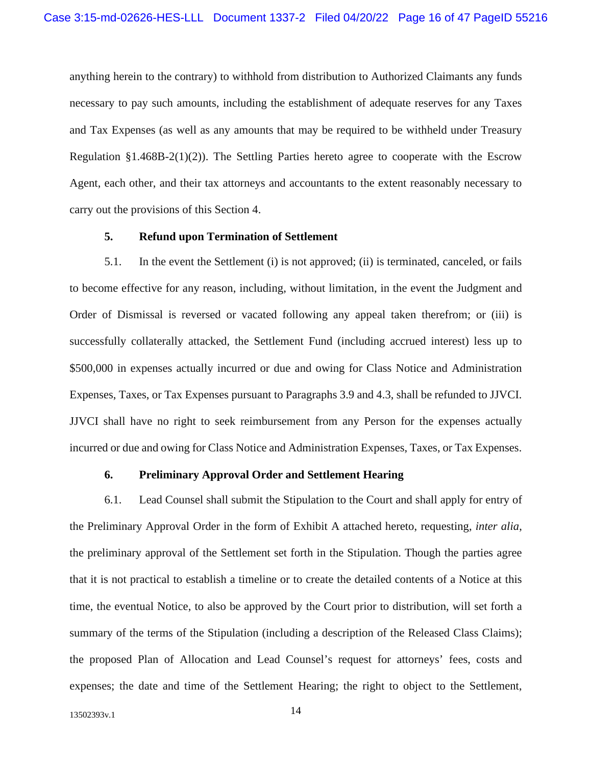anything herein to the contrary) to withhold from distribution to Authorized Claimants any funds necessary to pay such amounts, including the establishment of adequate reserves for any Taxes and Tax Expenses (as well as any amounts that may be required to be withheld under Treasury Regulation §1.468B-2(1)(2)). The Settling Parties hereto agree to cooperate with the Escrow Agent, each other, and their tax attorneys and accountants to the extent reasonably necessary to carry out the provisions of this Section 4.

#### **5. Refund upon Termination of Settlement**

5.1. In the event the Settlement (i) is not approved; (ii) is terminated, canceled, or fails to become effective for any reason, including, without limitation, in the event the Judgment and Order of Dismissal is reversed or vacated following any appeal taken therefrom; or (iii) is successfully collaterally attacked, the Settlement Fund (including accrued interest) less up to \$500,000 in expenses actually incurred or due and owing for Class Notice and Administration Expenses, Taxes, or Tax Expenses pursuant to Paragraphs 3.9 and 4.3, shall be refunded to JJVCI. JJVCI shall have no right to seek reimbursement from any Person for the expenses actually incurred or due and owing for Class Notice and Administration Expenses, Taxes, or Tax Expenses.

#### **6. Preliminary Approval Order and Settlement Hearing**

6.1. Lead Counsel shall submit the Stipulation to the Court and shall apply for entry of the Preliminary Approval Order in the form of Exhibit A attached hereto, requesting, *inter alia*, the preliminary approval of the Settlement set forth in the Stipulation. Though the parties agree that it is not practical to establish a timeline or to create the detailed contents of a Notice at this time, the eventual Notice, to also be approved by the Court prior to distribution, will set forth a summary of the terms of the Stipulation (including a description of the Released Class Claims); the proposed Plan of Allocation and Lead Counsel's request for attorneys' fees, costs and expenses; the date and time of the Settlement Hearing; the right to object to the Settlement,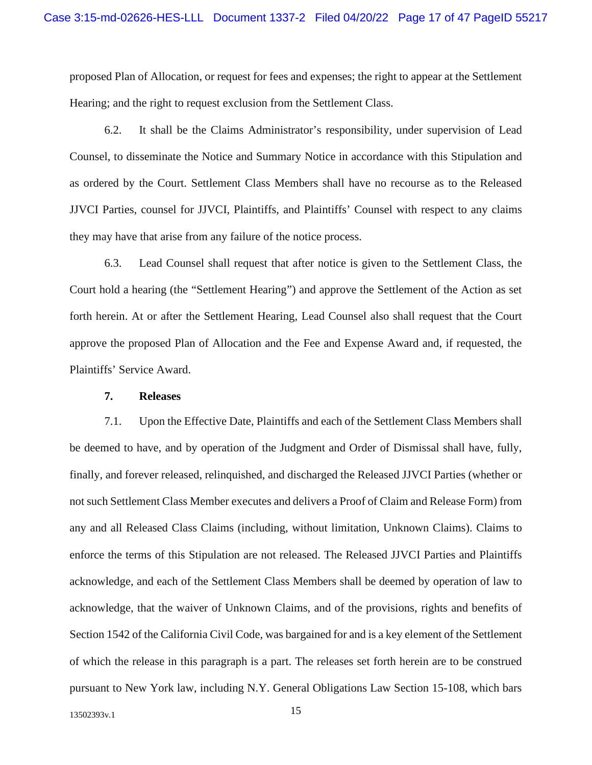proposed Plan of Allocation, or request for fees and expenses; the right to appear at the Settlement Hearing; and the right to request exclusion from the Settlement Class.

6.2. It shall be the Claims Administrator's responsibility, under supervision of Lead Counsel, to disseminate the Notice and Summary Notice in accordance with this Stipulation and as ordered by the Court. Settlement Class Members shall have no recourse as to the Released JJVCI Parties, counsel for JJVCI, Plaintiffs, and Plaintiffs' Counsel with respect to any claims they may have that arise from any failure of the notice process.

6.3. Lead Counsel shall request that after notice is given to the Settlement Class, the Court hold a hearing (the "Settlement Hearing") and approve the Settlement of the Action as set forth herein. At or after the Settlement Hearing, Lead Counsel also shall request that the Court approve the proposed Plan of Allocation and the Fee and Expense Award and, if requested, the Plaintiffs' Service Award.

#### **7. Releases**

7.1. Upon the Effective Date, Plaintiffs and each of the Settlement Class Members shall be deemed to have, and by operation of the Judgment and Order of Dismissal shall have, fully, finally, and forever released, relinquished, and discharged the Released JJVCI Parties (whether or not such Settlement Class Member executes and delivers a Proof of Claim and Release Form) from any and all Released Class Claims (including, without limitation, Unknown Claims). Claims to enforce the terms of this Stipulation are not released. The Released JJVCI Parties and Plaintiffs acknowledge, and each of the Settlement Class Members shall be deemed by operation of law to acknowledge, that the waiver of Unknown Claims, and of the provisions, rights and benefits of Section 1542 of the California Civil Code, was bargained for and is a key element of the Settlement of which the release in this paragraph is a part. The releases set forth herein are to be construed pursuant to New York law, including N.Y. General Obligations Law Section 15-108, which bars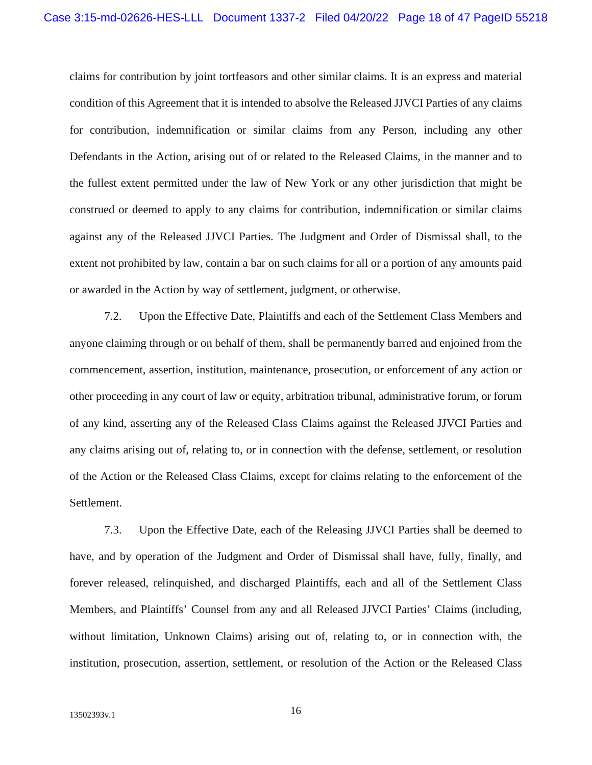claims for contribution by joint tortfeasors and other similar claims. It is an express and material condition of this Agreement that it is intended to absolve the Released JJVCI Parties of any claims for contribution, indemnification or similar claims from any Person, including any other Defendants in the Action, arising out of or related to the Released Claims, in the manner and to the fullest extent permitted under the law of New York or any other jurisdiction that might be construed or deemed to apply to any claims for contribution, indemnification or similar claims against any of the Released JJVCI Parties. The Judgment and Order of Dismissal shall, to the extent not prohibited by law, contain a bar on such claims for all or a portion of any amounts paid or awarded in the Action by way of settlement, judgment, or otherwise.

7.2. Upon the Effective Date, Plaintiffs and each of the Settlement Class Members and anyone claiming through or on behalf of them, shall be permanently barred and enjoined from the commencement, assertion, institution, maintenance, prosecution, or enforcement of any action or other proceeding in any court of law or equity, arbitration tribunal, administrative forum, or forum of any kind, asserting any of the Released Class Claims against the Released JJVCI Parties and any claims arising out of, relating to, or in connection with the defense, settlement, or resolution of the Action or the Released Class Claims, except for claims relating to the enforcement of the Settlement.

7.3. Upon the Effective Date, each of the Releasing JJVCI Parties shall be deemed to have, and by operation of the Judgment and Order of Dismissal shall have, fully, finally, and forever released, relinquished, and discharged Plaintiffs, each and all of the Settlement Class Members, and Plaintiffs' Counsel from any and all Released JJVCI Parties' Claims (including, without limitation, Unknown Claims) arising out of, relating to, or in connection with, the institution, prosecution, assertion, settlement, or resolution of the Action or the Released Class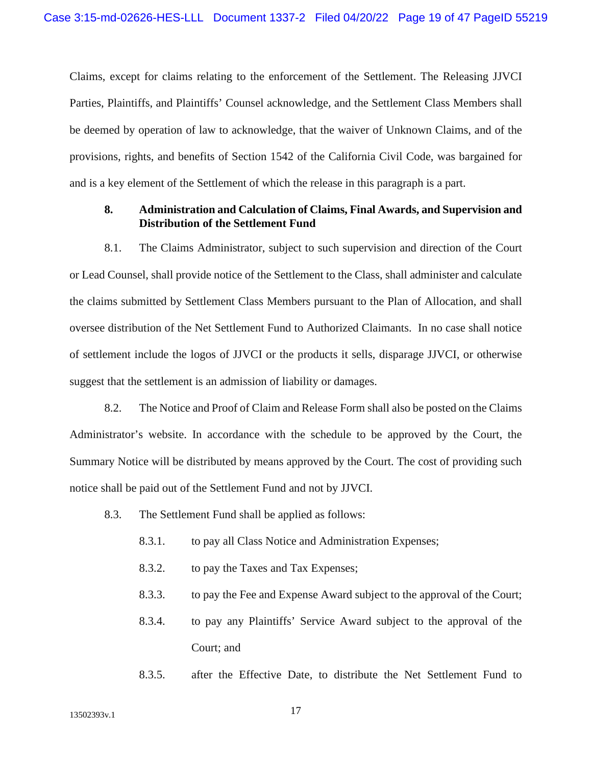Claims, except for claims relating to the enforcement of the Settlement. The Releasing JJVCI Parties, Plaintiffs, and Plaintiffs' Counsel acknowledge, and the Settlement Class Members shall be deemed by operation of law to acknowledge, that the waiver of Unknown Claims, and of the provisions, rights, and benefits of Section 1542 of the California Civil Code, was bargained for and is a key element of the Settlement of which the release in this paragraph is a part.

#### **8. Administration and Calculation of Claims, Final Awards, and Supervision and Distribution of the Settlement Fund**

8.1. The Claims Administrator, subject to such supervision and direction of the Court or Lead Counsel, shall provide notice of the Settlement to the Class, shall administer and calculate the claims submitted by Settlement Class Members pursuant to the Plan of Allocation, and shall oversee distribution of the Net Settlement Fund to Authorized Claimants. In no case shall notice of settlement include the logos of JJVCI or the products it sells, disparage JJVCI, or otherwise suggest that the settlement is an admission of liability or damages.

8.2. The Notice and Proof of Claim and Release Form shall also be posted on the Claims Administrator's website. In accordance with the schedule to be approved by the Court, the Summary Notice will be distributed by means approved by the Court. The cost of providing such notice shall be paid out of the Settlement Fund and not by JJVCI.

- 8.3. The Settlement Fund shall be applied as follows:
	- 8.3.1. to pay all Class Notice and Administration Expenses;
	- 8.3.2. to pay the Taxes and Tax Expenses;
	- 8.3.3. to pay the Fee and Expense Award subject to the approval of the Court;
	- 8.3.4. to pay any Plaintiffs' Service Award subject to the approval of the Court; and
	- 8.3.5. after the Effective Date, to distribute the Net Settlement Fund to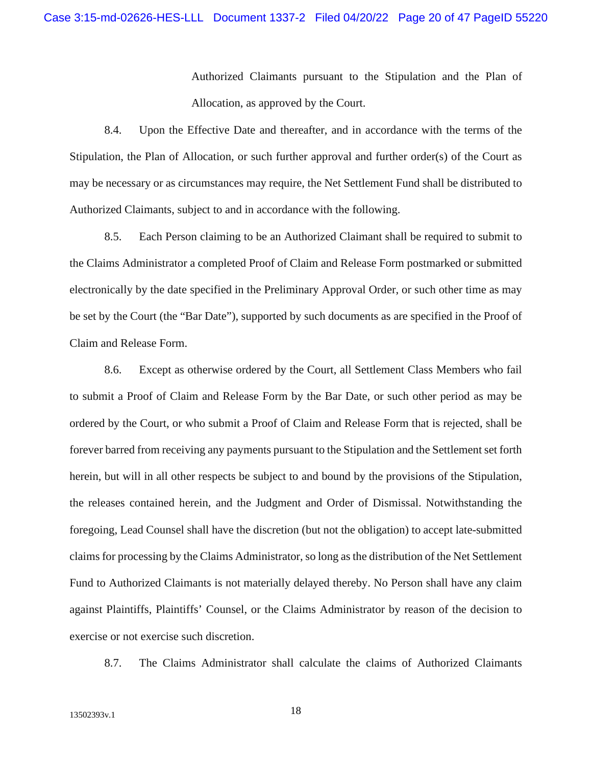Authorized Claimants pursuant to the Stipulation and the Plan of Allocation, as approved by the Court.

8.4. Upon the Effective Date and thereafter, and in accordance with the terms of the Stipulation, the Plan of Allocation, or such further approval and further order(s) of the Court as may be necessary or as circumstances may require, the Net Settlement Fund shall be distributed to Authorized Claimants, subject to and in accordance with the following.

8.5. Each Person claiming to be an Authorized Claimant shall be required to submit to the Claims Administrator a completed Proof of Claim and Release Form postmarked or submitted electronically by the date specified in the Preliminary Approval Order, or such other time as may be set by the Court (the "Bar Date"), supported by such documents as are specified in the Proof of Claim and Release Form.

8.6. Except as otherwise ordered by the Court, all Settlement Class Members who fail to submit a Proof of Claim and Release Form by the Bar Date, or such other period as may be ordered by the Court, or who submit a Proof of Claim and Release Form that is rejected, shall be forever barred from receiving any payments pursuant to the Stipulation and the Settlement set forth herein, but will in all other respects be subject to and bound by the provisions of the Stipulation, the releases contained herein, and the Judgment and Order of Dismissal. Notwithstanding the foregoing, Lead Counsel shall have the discretion (but not the obligation) to accept late-submitted claims for processing by the Claims Administrator, so long as the distribution of the Net Settlement Fund to Authorized Claimants is not materially delayed thereby. No Person shall have any claim against Plaintiffs, Plaintiffs' Counsel, or the Claims Administrator by reason of the decision to exercise or not exercise such discretion.

8.7. The Claims Administrator shall calculate the claims of Authorized Claimants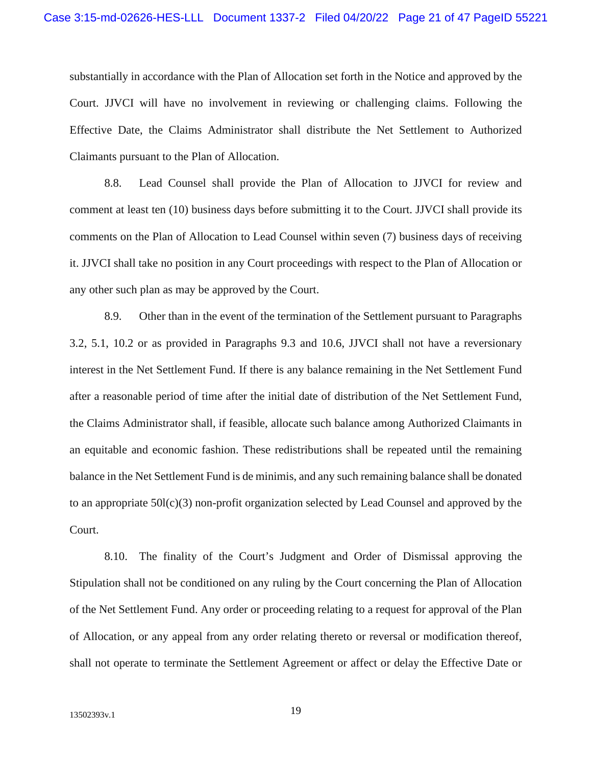substantially in accordance with the Plan of Allocation set forth in the Notice and approved by the Court. JJVCI will have no involvement in reviewing or challenging claims. Following the Effective Date, the Claims Administrator shall distribute the Net Settlement to Authorized Claimants pursuant to the Plan of Allocation.

8.8. Lead Counsel shall provide the Plan of Allocation to JJVCI for review and comment at least ten (10) business days before submitting it to the Court. JJVCI shall provide its comments on the Plan of Allocation to Lead Counsel within seven (7) business days of receiving it. JJVCI shall take no position in any Court proceedings with respect to the Plan of Allocation or any other such plan as may be approved by the Court.

8.9. Other than in the event of the termination of the Settlement pursuant to Paragraphs 3.2, 5.1, 10.2 or as provided in Paragraphs 9.3 and 10.6, JJVCI shall not have a reversionary interest in the Net Settlement Fund. If there is any balance remaining in the Net Settlement Fund after a reasonable period of time after the initial date of distribution of the Net Settlement Fund, the Claims Administrator shall, if feasible, allocate such balance among Authorized Claimants in an equitable and economic fashion. These redistributions shall be repeated until the remaining balance in the Net Settlement Fund is de minimis, and any such remaining balance shall be donated to an appropriate 50l(c)(3) non-profit organization selected by Lead Counsel and approved by the Court.

8.10. The finality of the Court's Judgment and Order of Dismissal approving the Stipulation shall not be conditioned on any ruling by the Court concerning the Plan of Allocation of the Net Settlement Fund. Any order or proceeding relating to a request for approval of the Plan of Allocation, or any appeal from any order relating thereto or reversal or modification thereof, shall not operate to terminate the Settlement Agreement or affect or delay the Effective Date or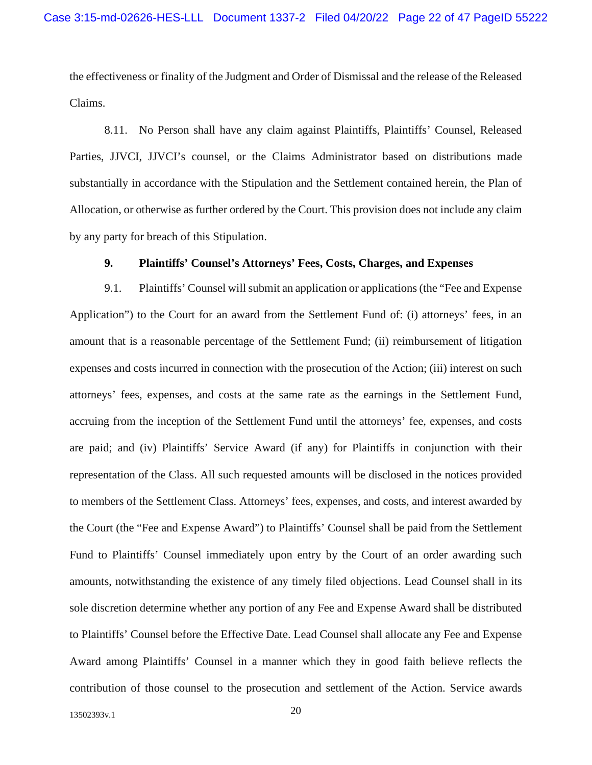the effectiveness or finality of the Judgment and Order of Dismissal and the release of the Released Claims.

8.11. No Person shall have any claim against Plaintiffs, Plaintiffs' Counsel, Released Parties, JJVCI, JJVCI's counsel, or the Claims Administrator based on distributions made substantially in accordance with the Stipulation and the Settlement contained herein, the Plan of Allocation, or otherwise as further ordered by the Court. This provision does not include any claim by any party for breach of this Stipulation.

#### **9. Plaintiffs' Counsel's Attorneys' Fees, Costs, Charges, and Expenses**

9.1. Plaintiffs' Counsel will submit an application or applications (the "Fee and Expense Application") to the Court for an award from the Settlement Fund of: (i) attorneys' fees, in an amount that is a reasonable percentage of the Settlement Fund; (ii) reimbursement of litigation expenses and costs incurred in connection with the prosecution of the Action; (iii) interest on such attorneys' fees, expenses, and costs at the same rate as the earnings in the Settlement Fund, accruing from the inception of the Settlement Fund until the attorneys' fee, expenses, and costs are paid; and (iv) Plaintiffs' Service Award (if any) for Plaintiffs in conjunction with their representation of the Class. All such requested amounts will be disclosed in the notices provided to members of the Settlement Class. Attorneys' fees, expenses, and costs, and interest awarded by the Court (the "Fee and Expense Award") to Plaintiffs' Counsel shall be paid from the Settlement Fund to Plaintiffs' Counsel immediately upon entry by the Court of an order awarding such amounts, notwithstanding the existence of any timely filed objections. Lead Counsel shall in its sole discretion determine whether any portion of any Fee and Expense Award shall be distributed to Plaintiffs' Counsel before the Effective Date. Lead Counsel shall allocate any Fee and Expense Award among Plaintiffs' Counsel in a manner which they in good faith believe reflects the contribution of those counsel to the prosecution and settlement of the Action. Service awards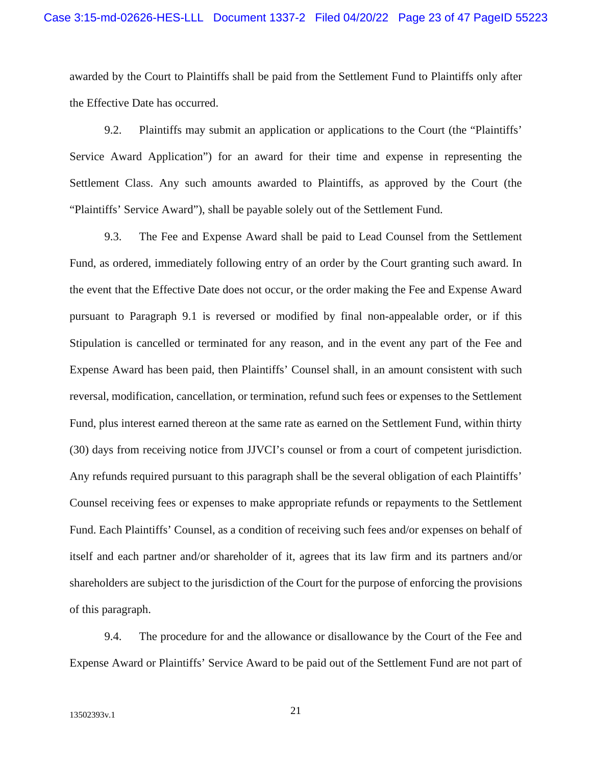awarded by the Court to Plaintiffs shall be paid from the Settlement Fund to Plaintiffs only after the Effective Date has occurred.

9.2. Plaintiffs may submit an application or applications to the Court (the "Plaintiffs' Service Award Application") for an award for their time and expense in representing the Settlement Class. Any such amounts awarded to Plaintiffs, as approved by the Court (the "Plaintiffs' Service Award"), shall be payable solely out of the Settlement Fund.

9.3. The Fee and Expense Award shall be paid to Lead Counsel from the Settlement Fund, as ordered, immediately following entry of an order by the Court granting such award. In the event that the Effective Date does not occur, or the order making the Fee and Expense Award pursuant to Paragraph 9.1 is reversed or modified by final non-appealable order, or if this Stipulation is cancelled or terminated for any reason, and in the event any part of the Fee and Expense Award has been paid, then Plaintiffs' Counsel shall, in an amount consistent with such reversal, modification, cancellation, or termination, refund such fees or expenses to the Settlement Fund, plus interest earned thereon at the same rate as earned on the Settlement Fund, within thirty (30) days from receiving notice from JJVCI's counsel or from a court of competent jurisdiction. Any refunds required pursuant to this paragraph shall be the several obligation of each Plaintiffs' Counsel receiving fees or expenses to make appropriate refunds or repayments to the Settlement Fund. Each Plaintiffs' Counsel, as a condition of receiving such fees and/or expenses on behalf of itself and each partner and/or shareholder of it, agrees that its law firm and its partners and/or shareholders are subject to the jurisdiction of the Court for the purpose of enforcing the provisions of this paragraph.

9.4. The procedure for and the allowance or disallowance by the Court of the Fee and Expense Award or Plaintiffs' Service Award to be paid out of the Settlement Fund are not part of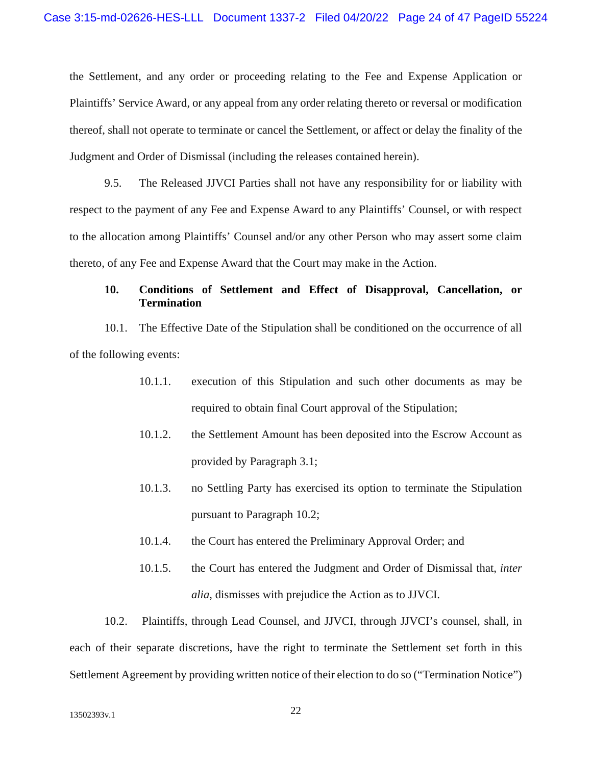the Settlement, and any order or proceeding relating to the Fee and Expense Application or Plaintiffs' Service Award, or any appeal from any order relating thereto or reversal or modification thereof, shall not operate to terminate or cancel the Settlement, or affect or delay the finality of the Judgment and Order of Dismissal (including the releases contained herein).

9.5. The Released JJVCI Parties shall not have any responsibility for or liability with respect to the payment of any Fee and Expense Award to any Plaintiffs' Counsel, or with respect to the allocation among Plaintiffs' Counsel and/or any other Person who may assert some claim thereto, of any Fee and Expense Award that the Court may make in the Action.

#### **10. Conditions of Settlement and Effect of Disapproval, Cancellation, or Termination**

10.1. The Effective Date of the Stipulation shall be conditioned on the occurrence of all of the following events:

- 10.1.1. execution of this Stipulation and such other documents as may be required to obtain final Court approval of the Stipulation;
- 10.1.2. the Settlement Amount has been deposited into the Escrow Account as provided by Paragraph 3.1;
- 10.1.3. no Settling Party has exercised its option to terminate the Stipulation pursuant to Paragraph 10.2;
- 10.1.4. the Court has entered the Preliminary Approval Order; and
- 10.1.5. the Court has entered the Judgment and Order of Dismissal that, *inter alia*, dismisses with prejudice the Action as to JJVCI.

10.2. Plaintiffs, through Lead Counsel, and JJVCI, through JJVCI's counsel, shall, in each of their separate discretions, have the right to terminate the Settlement set forth in this Settlement Agreement by providing written notice of their election to do so ("Termination Notice")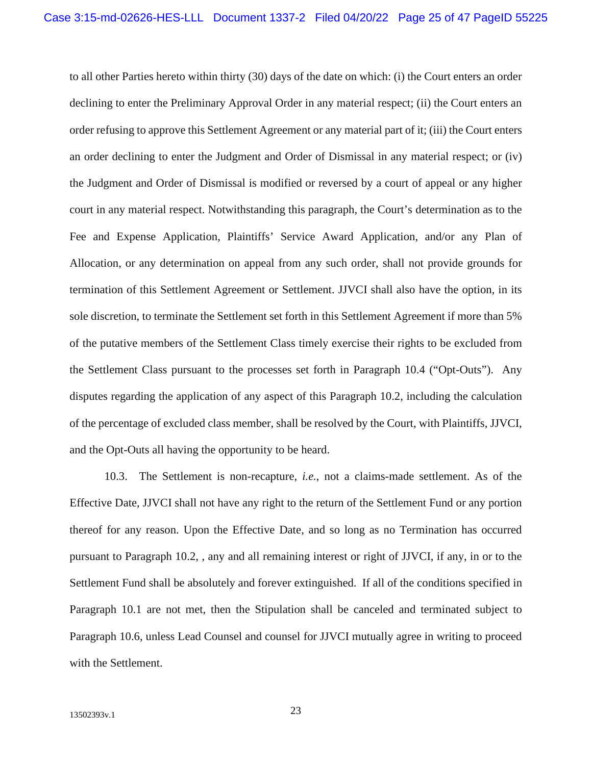to all other Parties hereto within thirty (30) days of the date on which: (i) the Court enters an order declining to enter the Preliminary Approval Order in any material respect; (ii) the Court enters an order refusing to approve this Settlement Agreement or any material part of it; (iii) the Court enters an order declining to enter the Judgment and Order of Dismissal in any material respect; or (iv) the Judgment and Order of Dismissal is modified or reversed by a court of appeal or any higher court in any material respect. Notwithstanding this paragraph, the Court's determination as to the Fee and Expense Application, Plaintiffs' Service Award Application, and/or any Plan of Allocation, or any determination on appeal from any such order, shall not provide grounds for termination of this Settlement Agreement or Settlement. JJVCI shall also have the option, in its sole discretion, to terminate the Settlement set forth in this Settlement Agreement if more than 5% of the putative members of the Settlement Class timely exercise their rights to be excluded from the Settlement Class pursuant to the processes set forth in Paragraph 10.4 ("Opt-Outs"). Any disputes regarding the application of any aspect of this Paragraph 10.2, including the calculation of the percentage of excluded class member, shall be resolved by the Court, with Plaintiffs, JJVCI, and the Opt-Outs all having the opportunity to be heard.

10.3. The Settlement is non-recapture, *i.e.*, not a claims-made settlement. As of the Effective Date, JJVCI shall not have any right to the return of the Settlement Fund or any portion thereof for any reason. Upon the Effective Date, and so long as no Termination has occurred pursuant to Paragraph 10.2, , any and all remaining interest or right of JJVCI, if any, in or to the Settlement Fund shall be absolutely and forever extinguished. If all of the conditions specified in Paragraph 10.1 are not met, then the Stipulation shall be canceled and terminated subject to Paragraph 10.6, unless Lead Counsel and counsel for JJVCI mutually agree in writing to proceed with the Settlement.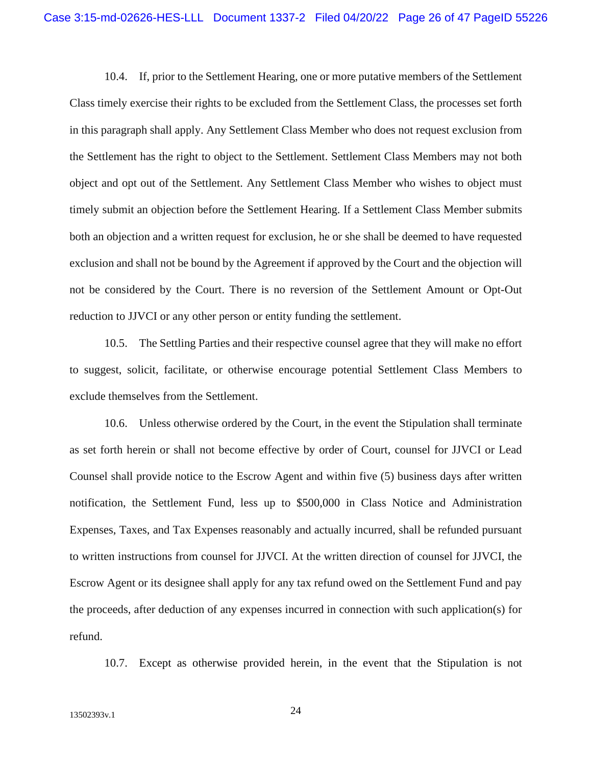10.4. If, prior to the Settlement Hearing, one or more putative members of the Settlement Class timely exercise their rights to be excluded from the Settlement Class, the processes set forth in this paragraph shall apply. Any Settlement Class Member who does not request exclusion from the Settlement has the right to object to the Settlement. Settlement Class Members may not both object and opt out of the Settlement. Any Settlement Class Member who wishes to object must timely submit an objection before the Settlement Hearing. If a Settlement Class Member submits both an objection and a written request for exclusion, he or she shall be deemed to have requested exclusion and shall not be bound by the Agreement if approved by the Court and the objection will not be considered by the Court. There is no reversion of the Settlement Amount or Opt-Out reduction to JJVCI or any other person or entity funding the settlement.

10.5. The Settling Parties and their respective counsel agree that they will make no effort to suggest, solicit, facilitate, or otherwise encourage potential Settlement Class Members to exclude themselves from the Settlement.

10.6. Unless otherwise ordered by the Court, in the event the Stipulation shall terminate as set forth herein or shall not become effective by order of Court, counsel for JJVCI or Lead Counsel shall provide notice to the Escrow Agent and within five (5) business days after written notification, the Settlement Fund, less up to \$500,000 in Class Notice and Administration Expenses, Taxes, and Tax Expenses reasonably and actually incurred, shall be refunded pursuant to written instructions from counsel for JJVCI. At the written direction of counsel for JJVCI, the Escrow Agent or its designee shall apply for any tax refund owed on the Settlement Fund and pay the proceeds, after deduction of any expenses incurred in connection with such application(s) for refund.

10.7. Except as otherwise provided herein, in the event that the Stipulation is not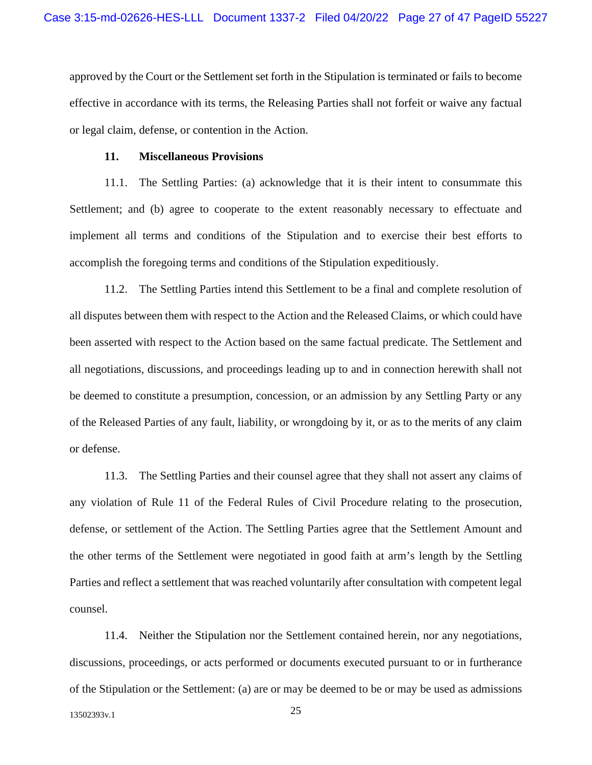approved by the Court or the Settlement set forth in the Stipulation is terminated or fails to become effective in accordance with its terms, the Releasing Parties shall not forfeit or waive any factual or legal claim, defense, or contention in the Action.

#### **11. Miscellaneous Provisions**

11.1. The Settling Parties: (a) acknowledge that it is their intent to consummate this Settlement; and (b) agree to cooperate to the extent reasonably necessary to effectuate and implement all terms and conditions of the Stipulation and to exercise their best efforts to accomplish the foregoing terms and conditions of the Stipulation expeditiously.

11.2. The Settling Parties intend this Settlement to be a final and complete resolution of all disputes between them with respect to the Action and the Released Claims, or which could have been asserted with respect to the Action based on the same factual predicate. The Settlement and all negotiations, discussions, and proceedings leading up to and in connection herewith shall not be deemed to constitute a presumption, concession, or an admission by any Settling Party or any of the Released Parties of any fault, liability, or wrongdoing by it, or as to the merits of any claim or defense.

11.3. The Settling Parties and their counsel agree that they shall not assert any claims of any violation of Rule 11 of the Federal Rules of Civil Procedure relating to the prosecution, defense, or settlement of the Action. The Settling Parties agree that the Settlement Amount and the other terms of the Settlement were negotiated in good faith at arm's length by the Settling Parties and reflect a settlement that was reached voluntarily after consultation with competent legal counsel.

11.4. Neither the Stipulation nor the Settlement contained herein, nor any negotiations, discussions, proceedings, or acts performed or documents executed pursuant to or in furtherance of the Stipulation or the Settlement: (a) are or may be deemed to be or may be used as admissions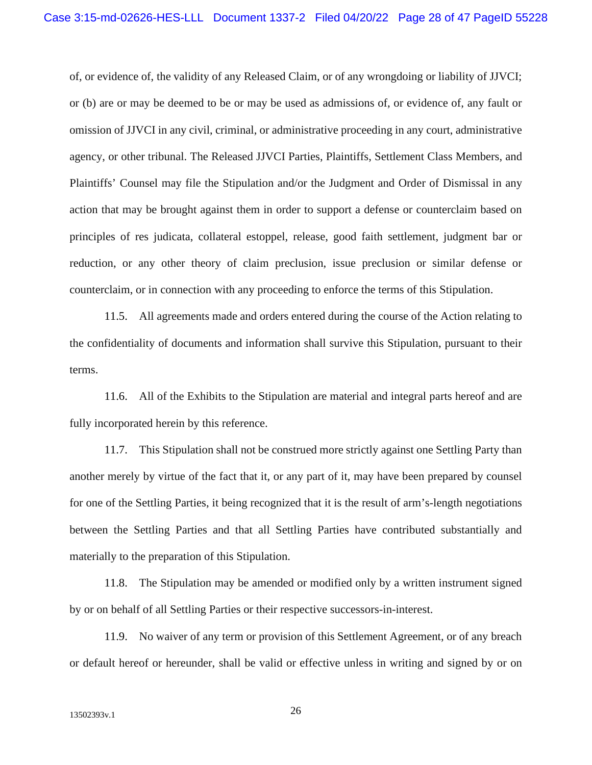of, or evidence of, the validity of any Released Claim, or of any wrongdoing or liability of JJVCI; or (b) are or may be deemed to be or may be used as admissions of, or evidence of, any fault or omission of JJVCI in any civil, criminal, or administrative proceeding in any court, administrative agency, or other tribunal. The Released JJVCI Parties, Plaintiffs, Settlement Class Members, and Plaintiffs' Counsel may file the Stipulation and/or the Judgment and Order of Dismissal in any action that may be brought against them in order to support a defense or counterclaim based on principles of res judicata, collateral estoppel, release, good faith settlement, judgment bar or reduction, or any other theory of claim preclusion, issue preclusion or similar defense or counterclaim, or in connection with any proceeding to enforce the terms of this Stipulation.

11.5. All agreements made and orders entered during the course of the Action relating to the confidentiality of documents and information shall survive this Stipulation, pursuant to their terms.

11.6. All of the Exhibits to the Stipulation are material and integral parts hereof and are fully incorporated herein by this reference.

11.7. This Stipulation shall not be construed more strictly against one Settling Party than another merely by virtue of the fact that it, or any part of it, may have been prepared by counsel for one of the Settling Parties, it being recognized that it is the result of arm's-length negotiations between the Settling Parties and that all Settling Parties have contributed substantially and materially to the preparation of this Stipulation.

11.8. The Stipulation may be amended or modified only by a written instrument signed by or on behalf of all Settling Parties or their respective successors-in-interest.

11.9. No waiver of any term or provision of this Settlement Agreement, or of any breach or default hereof or hereunder, shall be valid or effective unless in writing and signed by or on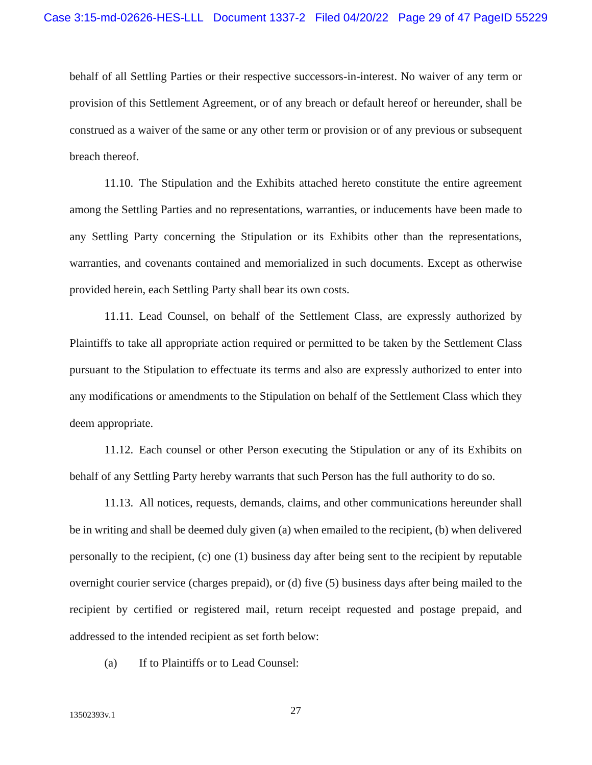behalf of all Settling Parties or their respective successors-in-interest. No waiver of any term or provision of this Settlement Agreement, or of any breach or default hereof or hereunder, shall be construed as a waiver of the same or any other term or provision or of any previous or subsequent breach thereof.

11.10. The Stipulation and the Exhibits attached hereto constitute the entire agreement among the Settling Parties and no representations, warranties, or inducements have been made to any Settling Party concerning the Stipulation or its Exhibits other than the representations, warranties, and covenants contained and memorialized in such documents. Except as otherwise provided herein, each Settling Party shall bear its own costs.

11.11. Lead Counsel, on behalf of the Settlement Class, are expressly authorized by Plaintiffs to take all appropriate action required or permitted to be taken by the Settlement Class pursuant to the Stipulation to effectuate its terms and also are expressly authorized to enter into any modifications or amendments to the Stipulation on behalf of the Settlement Class which they deem appropriate.

11.12. Each counsel or other Person executing the Stipulation or any of its Exhibits on behalf of any Settling Party hereby warrants that such Person has the full authority to do so.

11.13. All notices, requests, demands, claims, and other communications hereunder shall be in writing and shall be deemed duly given (a) when emailed to the recipient, (b) when delivered personally to the recipient, (c) one (1) business day after being sent to the recipient by reputable overnight courier service (charges prepaid), or (d) five (5) business days after being mailed to the recipient by certified or registered mail, return receipt requested and postage prepaid, and addressed to the intended recipient as set forth below:

(a) If to Plaintiffs or to Lead Counsel: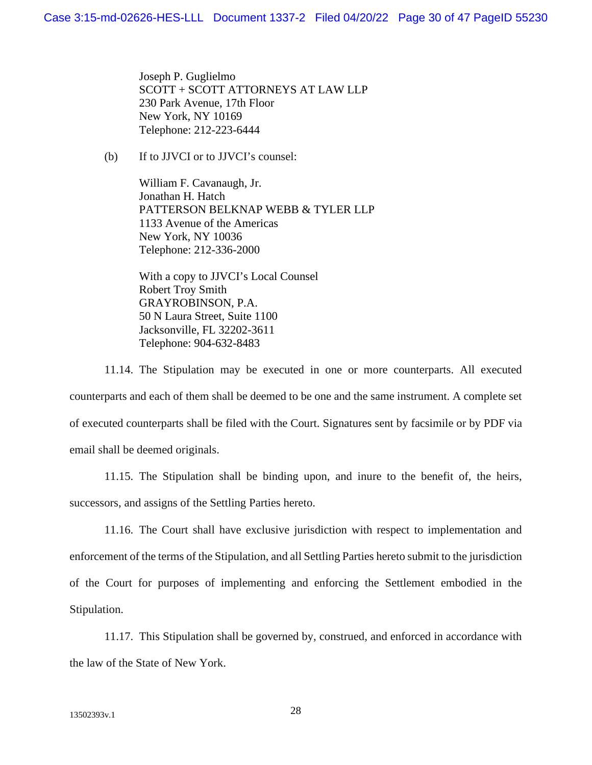Joseph P. Guglielmo SCOTT + SCOTT ATTORNEYS AT LAW LLP 230 Park Avenue, 17th Floor New York, NY 10169 Telephone: 212-223-6444

(b) If to JJVCI or to JJVCI's counsel:

William F. Cavanaugh, Jr. Jonathan H. Hatch PATTERSON BELKNAP WEBB & TYLER LLP 1133 Avenue of the Americas New York, NY 10036 Telephone: 212-336-2000

With a copy to JJVCI's Local Counsel Robert Troy Smith GRAYROBINSON, P.A. 50 N Laura Street, Suite 1100 Jacksonville, FL 32202-3611 Telephone: 904-632-8483

11.14. The Stipulation may be executed in one or more counterparts. All executed counterparts and each of them shall be deemed to be one and the same instrument. A complete set of executed counterparts shall be filed with the Court. Signatures sent by facsimile or by PDF via email shall be deemed originals.

11.15. The Stipulation shall be binding upon, and inure to the benefit of, the heirs, successors, and assigns of the Settling Parties hereto.

11.16. The Court shall have exclusive jurisdiction with respect to implementation and enforcement of the terms of the Stipulation, and all Settling Parties hereto submit to the jurisdiction of the Court for purposes of implementing and enforcing the Settlement embodied in the Stipulation.

11.17. This Stipulation shall be governed by, construed, and enforced in accordance with the law of the State of New York.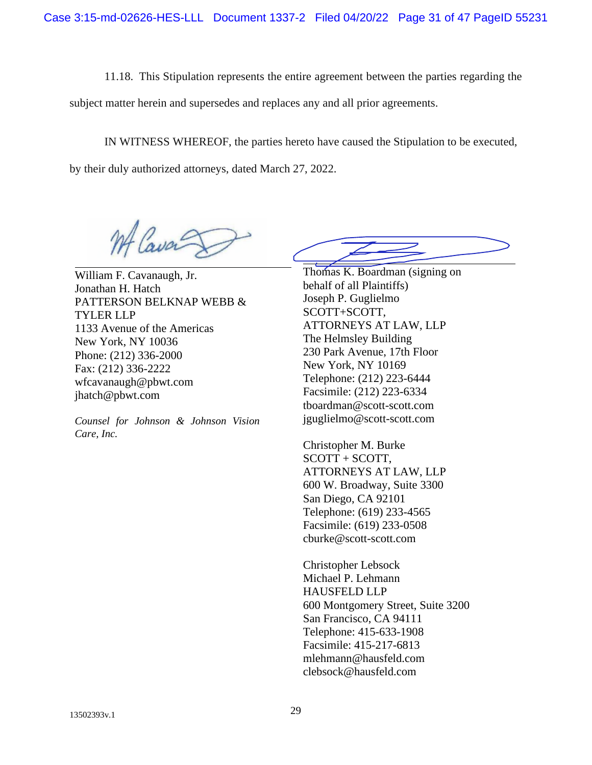11.18. This Stipulation represents the entire agreement between the parties regarding the

subject matter herein and supersedes and replaces any and all prior agreements.

IN WITNESS WHEREOF, the parties hereto have caused the Stipulation to be executed,

by their duly authorized attorneys, dated March 27, 2022.

William F. Cavanaugh, Jr. Jonathan H. Hatch PATTERSON BELKNAP WEBB & TYLER LLP 1133 Avenue of the Americas New York, NY 10036 Phone: (212) 336-2000 Fax: (212) 336-2222 wfcavanaugh@pbwt.com jhatch@pbwt.com

*Counsel for Johnson & Johnson Vision Care, Inc.* 

Thomas K. Boardman (signing on behalf of all Plaintiffs) Joseph P. Guglielmo SCOTT+SCOTT, ATTORNEYS AT LAW, LLP The Helmsley Building 230 Park Avenue, 17th Floor New York, NY 10169 Telephone: (212) 223-6444 Facsimile: (212) 223-6334 tboardman@scott-scott.com jguglielmo@scott-scott.com

Christopher M. Burke SCOTT + SCOTT, ATTORNEYS AT LAW, LLP 600 W. Broadway, Suite 3300 San Diego, CA 92101 Telephone: (619) 233-4565 Facsimile: (619) 233-0508 cburke@scott-scott.com

Christopher Lebsock Michael P. Lehmann HAUSFELD LLP 600 Montgomery Street, Suite 3200 San Francisco, CA 94111 Telephone: 415-633-1908 Facsimile: 415-217-6813 mlehmann@hausfeld.com clebsock@hausfeld.com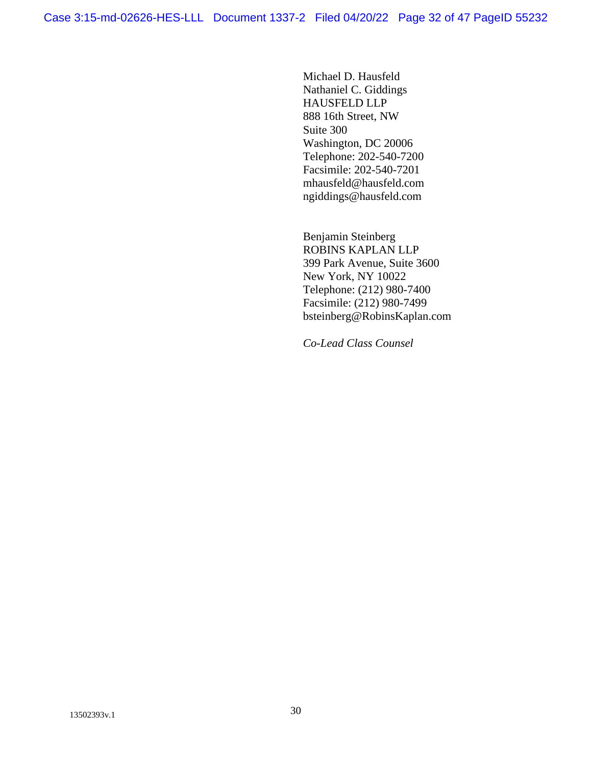Michael D. Hausfeld Nathaniel C. Giddings HAUSFELD LLP 888 16th Street, NW Suite 300 Washington, DC 20006 Telephone: 202-540-7200 Facsimile: 202-540-7201 mhausfeld@hausfeld.com ngiddings@hausfeld.com

Benjamin Steinberg ROBINS KAPLAN LLP 399 Park Avenue, Suite 3600 New York, NY 10022 Telephone: (212) 980-7400 Facsimile: (212) 980-7499 bsteinberg@RobinsKaplan.com

*Co-Lead Class Counsel*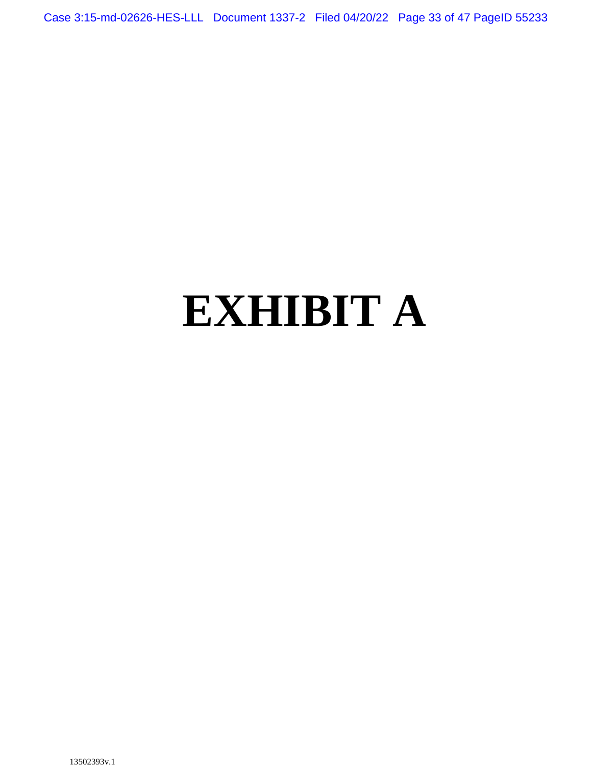Case 3:15-md-02626-HES-LLL Document 1337-2 Filed 04/20/22 Page 33 of 47 PageID 55233

# **EXHIBIT A**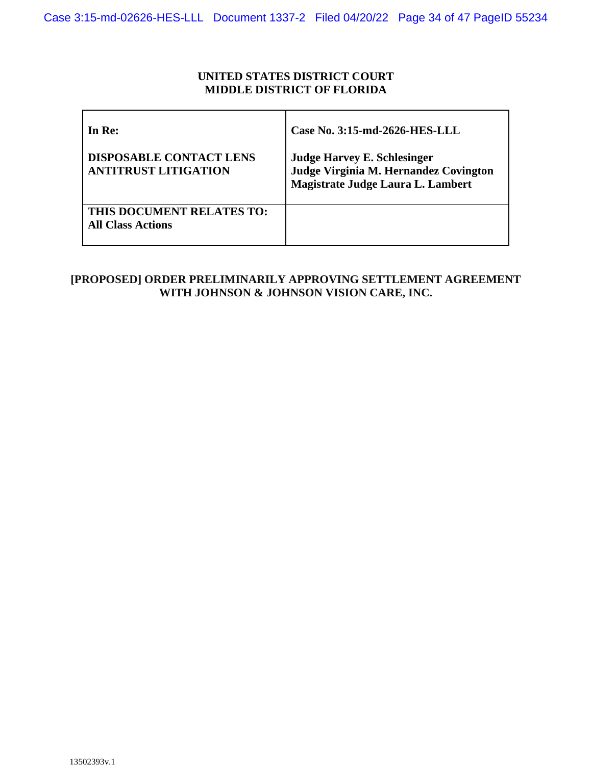### **UNITED STATES DISTRICT COURT MIDDLE DISTRICT OF FLORIDA**

| In Re:                                                        | Case No. 3:15-md-2626-HES-LLL                                                                                    |
|---------------------------------------------------------------|------------------------------------------------------------------------------------------------------------------|
| <b>DISPOSABLE CONTACT LENS</b><br><b>ANTITRUST LITIGATION</b> | <b>Judge Harvey E. Schlesinger</b><br>Judge Virginia M. Hernandez Covington<br>Magistrate Judge Laura L. Lambert |
| THIS DOCUMENT RELATES TO:<br><b>All Class Actions</b>         |                                                                                                                  |

# **[PROPOSED] ORDER PRELIMINARILY APPROVING SETTLEMENT AGREEMENT WITH JOHNSON & JOHNSON VISION CARE, INC.**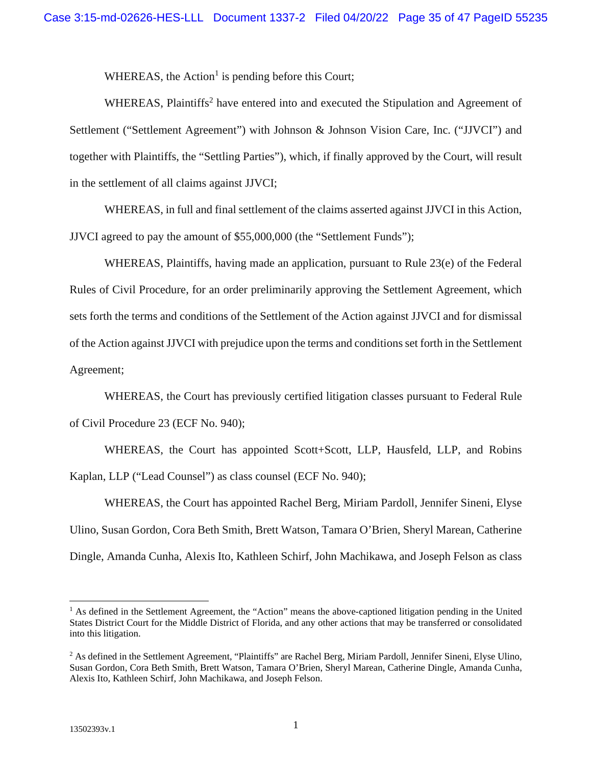WHEREAS,the Action<sup>1</sup> is pending before this Court;

WHEREAS,Plaintiffs<sup>2</sup> have entered into and executed the Stipulation and Agreement of Settlement ("Settlement Agreement") with Johnson & Johnson Vision Care, Inc. ("JJVCI") and together with Plaintiffs, the "Settling Parties"), which, if finally approved by the Court, will result in the settlement of all claims against JJVCI;

WHEREAS, in full and final settlement of the claims asserted against JJVCI in this Action, JJVCI agreed to pay the amount of \$55,000,000 (the "Settlement Funds");

WHEREAS, Plaintiffs, having made an application, pursuant to Rule 23(e) of the Federal Rules of Civil Procedure, for an order preliminarily approving the Settlement Agreement, which sets forth the terms and conditions of the Settlement of the Action against JJVCI and for dismissal of the Action against JJVCI with prejudice upon the terms and conditions set forth in the Settlement Agreement;

WHEREAS, the Court has previously certified litigation classes pursuant to Federal Rule of Civil Procedure 23 (ECF No. 940);

WHEREAS, the Court has appointed Scott+Scott, LLP, Hausfeld, LLP, and Robins Kaplan, LLP ("Lead Counsel") as class counsel (ECF No. 940);

WHEREAS, the Court has appointed Rachel Berg, Miriam Pardoll, Jennifer Sineni, Elyse Ulino, Susan Gordon, Cora Beth Smith, Brett Watson, Tamara O'Brien, Sheryl Marean, Catherine Dingle, Amanda Cunha, Alexis Ito, Kathleen Schirf, John Machikawa, and Joseph Felson as class

<span id="page-34-0"></span><sup>&</sup>lt;sup>1</sup> As defined in the Settlement Agreement, the "Action" means the above-captioned litigation pending in the United States District Court for the Middle District of Florida, and any other actions that may be transferred or consolidated into this litigation.

<span id="page-34-1"></span><sup>&</sup>lt;sup>2</sup> As defined in the Settlement Agreement, "Plaintiffs" are Rachel Berg, Miriam Pardoll, Jennifer Sineni, Elyse Ulino, Susan Gordon, Cora Beth Smith, Brett Watson, Tamara O'Brien, Sheryl Marean, Catherine Dingle, Amanda Cunha, Alexis Ito, Kathleen Schirf, John Machikawa, and Joseph Felson.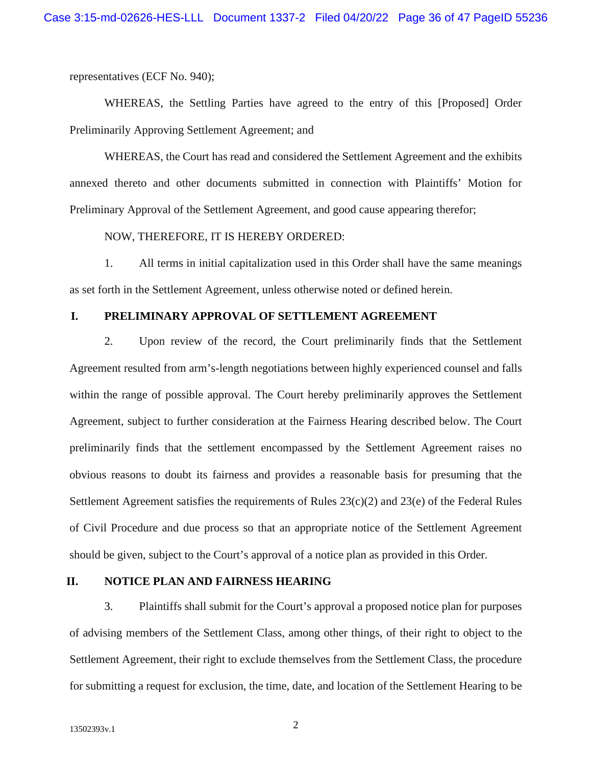representatives (ECF No. 940);

WHEREAS, the Settling Parties have agreed to the entry of this [Proposed] Order Preliminarily Approving Settlement Agreement; and

WHEREAS, the Court has read and considered the Settlement Agreement and the exhibits annexed thereto and other documents submitted in connection with Plaintiffs' Motion for Preliminary Approval of the Settlement Agreement, and good cause appearing therefor;

#### NOW, THEREFORE, IT IS HEREBY ORDERED:

1. All terms in initial capitalization used in this Order shall have the same meanings as set forth in the Settlement Agreement, unless otherwise noted or defined herein.

#### **I. PRELIMINARY APPROVAL OF SETTLEMENT AGREEMENT**

2. Upon review of the record, the Court preliminarily finds that the Settlement Agreement resulted from arm's-length negotiations between highly experienced counsel and falls within the range of possible approval. The Court hereby preliminarily approves the Settlement Agreement, subject to further consideration at the Fairness Hearing described below. The Court preliminarily finds that the settlement encompassed by the Settlement Agreement raises no obvious reasons to doubt its fairness and provides a reasonable basis for presuming that the Settlement Agreement satisfies the requirements of Rules 23(c)(2) and 23(e) of the Federal Rules of Civil Procedure and due process so that an appropriate notice of the Settlement Agreement should be given, subject to the Court's approval of a notice plan as provided in this Order.

#### **II. NOTICE PLAN AND FAIRNESS HEARING**

3. Plaintiffs shall submit for the Court's approval a proposed notice plan for purposes of advising members of the Settlement Class, among other things, of their right to object to the Settlement Agreement, their right to exclude themselves from the Settlement Class, the procedure for submitting a request for exclusion, the time, date, and location of the Settlement Hearing to be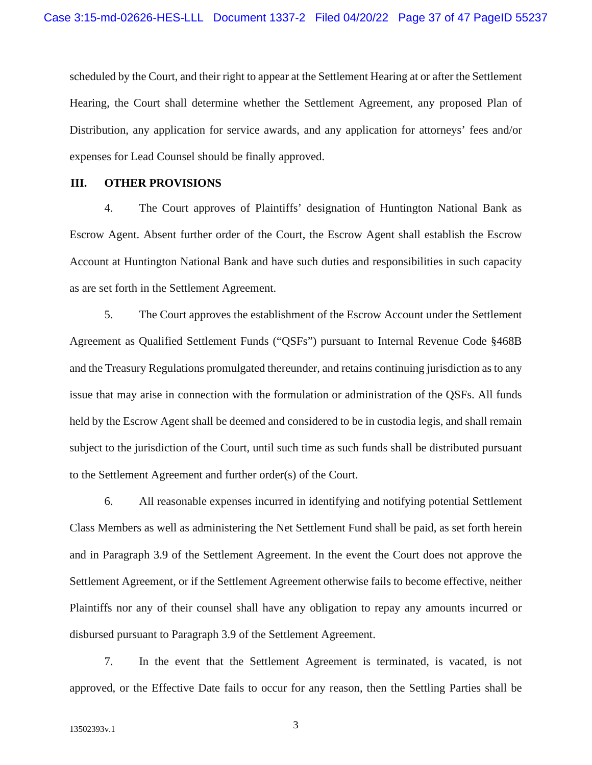scheduled by the Court, and their right to appear at the Settlement Hearing at or after the Settlement Hearing, the Court shall determine whether the Settlement Agreement, any proposed Plan of Distribution, any application for service awards, and any application for attorneys' fees and/or expenses for Lead Counsel should be finally approved.

#### **III. OTHER PROVISIONS**

4. The Court approves of Plaintiffs' designation of Huntington National Bank as Escrow Agent. Absent further order of the Court, the Escrow Agent shall establish the Escrow Account at Huntington National Bank and have such duties and responsibilities in such capacity as are set forth in the Settlement Agreement.

5. The Court approves the establishment of the Escrow Account under the Settlement Agreement as Qualified Settlement Funds ("QSFs") pursuant to Internal Revenue Code §468B and the Treasury Regulations promulgated thereunder, and retains continuing jurisdiction as to any issue that may arise in connection with the formulation or administration of the QSFs. All funds held by the Escrow Agent shall be deemed and considered to be in custodia legis, and shall remain subject to the jurisdiction of the Court, until such time as such funds shall be distributed pursuant to the Settlement Agreement and further order(s) of the Court.

6. All reasonable expenses incurred in identifying and notifying potential Settlement Class Members as well as administering the Net Settlement Fund shall be paid, as set forth herein and in Paragraph 3.9 of the Settlement Agreement. In the event the Court does not approve the Settlement Agreement, or if the Settlement Agreement otherwise fails to become effective, neither Plaintiffs nor any of their counsel shall have any obligation to repay any amounts incurred or disbursed pursuant to Paragraph 3.9 of the Settlement Agreement.

7. In the event that the Settlement Agreement is terminated, is vacated, is not approved, or the Effective Date fails to occur for any reason, then the Settling Parties shall be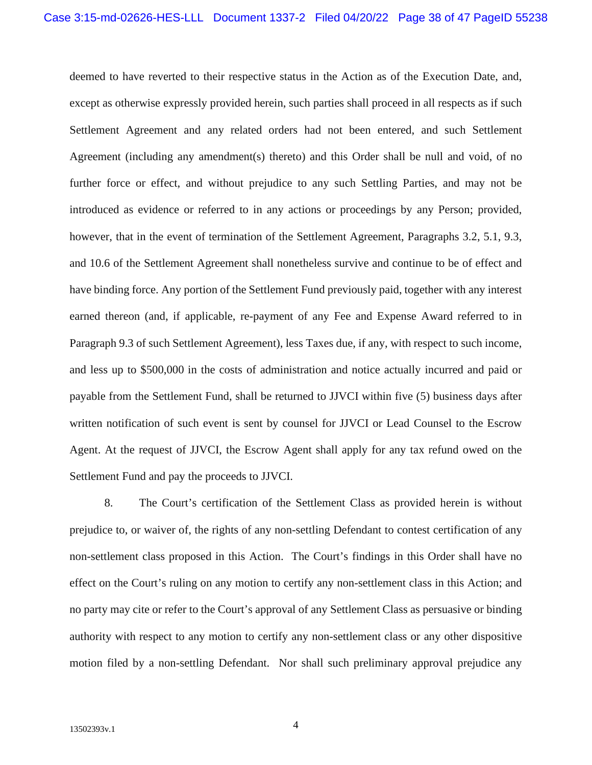deemed to have reverted to their respective status in the Action as of the Execution Date, and, except as otherwise expressly provided herein, such parties shall proceed in all respects as if such Settlement Agreement and any related orders had not been entered, and such Settlement Agreement (including any amendment(s) thereto) and this Order shall be null and void, of no further force or effect, and without prejudice to any such Settling Parties, and may not be introduced as evidence or referred to in any actions or proceedings by any Person; provided, however, that in the event of termination of the Settlement Agreement, Paragraphs 3.2, 5.1, 9.3, and 10.6 of the Settlement Agreement shall nonetheless survive and continue to be of effect and have binding force. Any portion of the Settlement Fund previously paid, together with any interest earned thereon (and, if applicable, re-payment of any Fee and Expense Award referred to in Paragraph 9.3 of such Settlement Agreement), less Taxes due, if any, with respect to such income, and less up to \$500,000 in the costs of administration and notice actually incurred and paid or payable from the Settlement Fund, shall be returned to JJVCI within five (5) business days after written notification of such event is sent by counsel for JJVCI or Lead Counsel to the Escrow Agent. At the request of JJVCI, the Escrow Agent shall apply for any tax refund owed on the Settlement Fund and pay the proceeds to JJVCI.

8. The Court's certification of the Settlement Class as provided herein is without prejudice to, or waiver of, the rights of any non-settling Defendant to contest certification of any non-settlement class proposed in this Action. The Court's findings in this Order shall have no effect on the Court's ruling on any motion to certify any non-settlement class in this Action; and no party may cite or refer to the Court's approval of any Settlement Class as persuasive or binding authority with respect to any motion to certify any non-settlement class or any other dispositive motion filed by a non-settling Defendant. Nor shall such preliminary approval prejudice any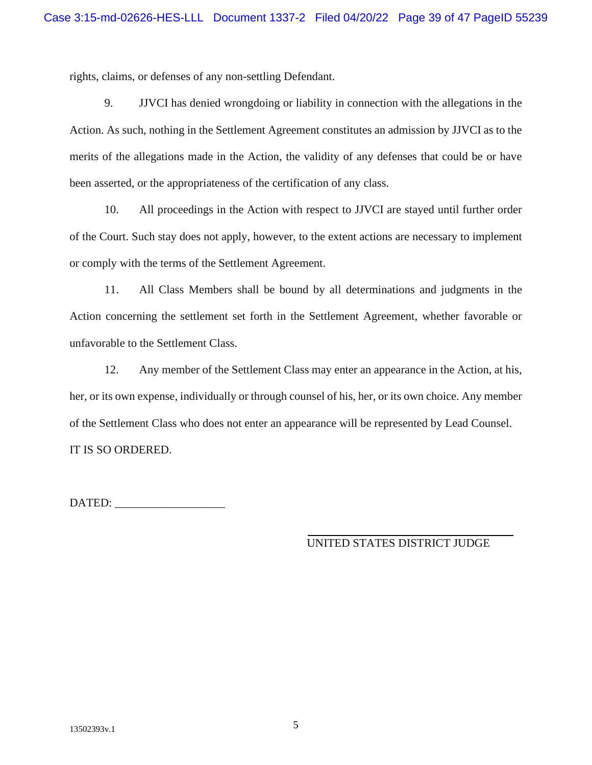rights, claims, or defenses of any non-settling Defendant.

9. JJVCI has denied wrongdoing or liability in connection with the allegations in the Action. As such, nothing in the Settlement Agreement constitutes an admission by JJVCI as to the merits of the allegations made in the Action, the validity of any defenses that could be or have been asserted, or the appropriateness of the certification of any class.

10. All proceedings in the Action with respect to JJVCI are stayed until further order of the Court. Such stay does not apply, however, to the extent actions are necessary to implement or comply with the terms of the Settlement Agreement.

11. All Class Members shall be bound by all determinations and judgments in the Action concerning the settlement set forth in the Settlement Agreement, whether favorable or unfavorable to the Settlement Class.

12. Any member of the Settlement Class may enter an appearance in the Action, at his, her, or its own expense, individually or through counsel of his, her, or its own choice. Any member of the Settlement Class who does not enter an appearance will be represented by Lead Counsel. IT IS SO ORDERED.

DATED: \_\_\_\_\_\_\_\_\_\_\_\_\_\_\_\_\_\_\_

UNITED STATES DISTRICT JUDGE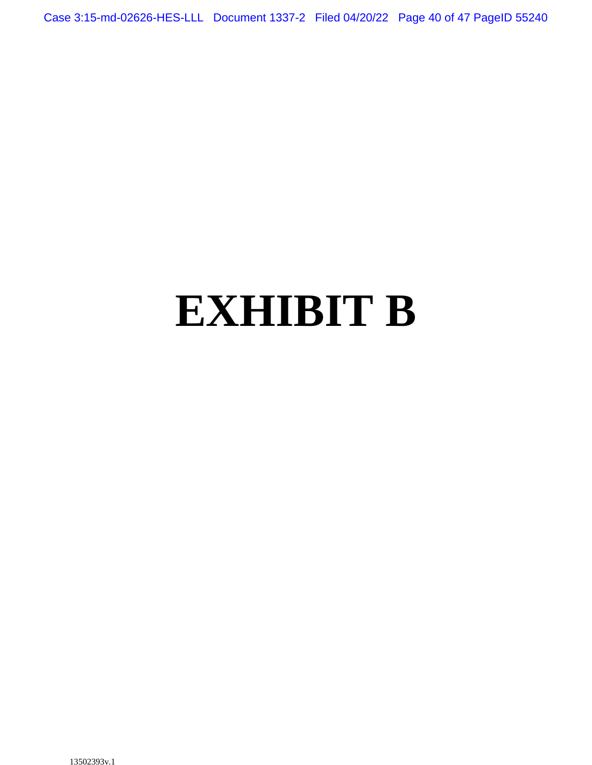Case 3:15-md-02626-HES-LLL Document 1337-2 Filed 04/20/22 Page 40 of 47 PageID 55240

# **EXHIBIT B**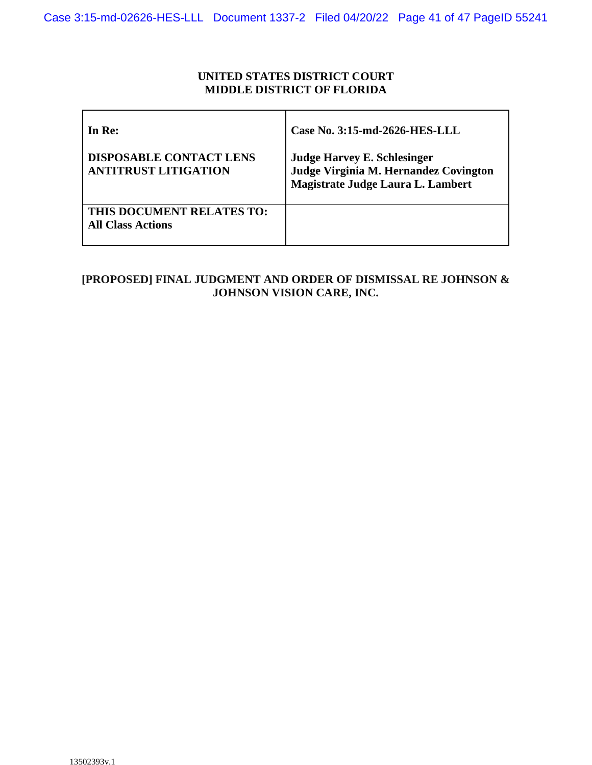### **UNITED STATES DISTRICT COURT MIDDLE DISTRICT OF FLORIDA**

| In Re:                                                        | Case No. 3:15-md-2626-HES-LLL                                                                                    |
|---------------------------------------------------------------|------------------------------------------------------------------------------------------------------------------|
| <b>DISPOSABLE CONTACT LENS</b><br><b>ANTITRUST LITIGATION</b> | <b>Judge Harvey E. Schlesinger</b><br>Judge Virginia M. Hernandez Covington<br>Magistrate Judge Laura L. Lambert |
| THIS DOCUMENT RELATES TO:<br><b>All Class Actions</b>         |                                                                                                                  |

# **[PROPOSED] FINAL JUDGMENT AND ORDER OF DISMISSAL RE JOHNSON & JOHNSON VISION CARE, INC.**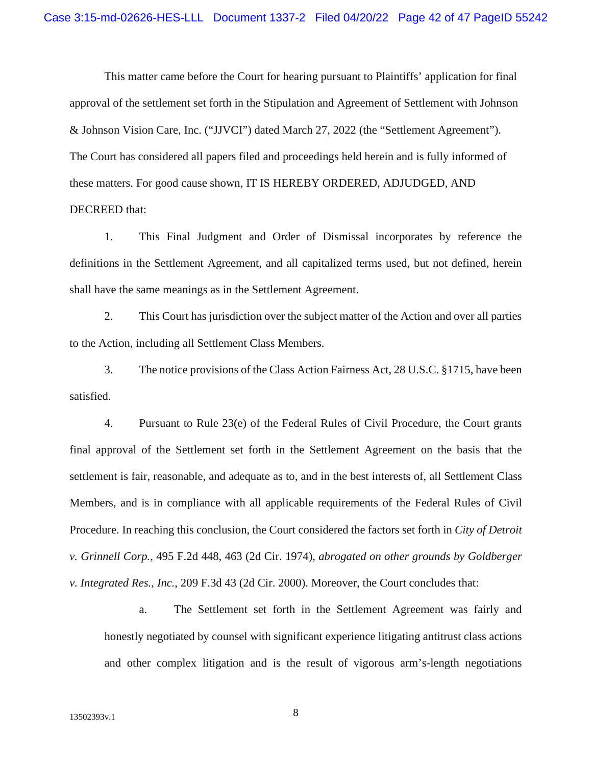This matter came before the Court for hearing pursuant to Plaintiffs' application for final approval of the settlement set forth in the Stipulation and Agreement of Settlement with Johnson & Johnson Vision Care, Inc. ("JJVCI") dated March 27, 2022 (the "Settlement Agreement"). The Court has considered all papers filed and proceedings held herein and is fully informed of these matters. For good cause shown, IT IS HEREBY ORDERED, ADJUDGED, AND DECREED that:

1. This Final Judgment and Order of Dismissal incorporates by reference the definitions in the Settlement Agreement, and all capitalized terms used, but not defined, herein shall have the same meanings as in the Settlement Agreement.

2. This Court has jurisdiction over the subject matter of the Action and over all parties to the Action, including all Settlement Class Members.

3. The notice provisions of the Class Action Fairness Act, 28 U.S.C. §1715, have been satisfied.

4. Pursuant to Rule 23(e) of the Federal Rules of Civil Procedure, the Court grants final approval of the Settlement set forth in the Settlement Agreement on the basis that the settlement is fair, reasonable, and adequate as to, and in the best interests of, all Settlement Class Members, and is in compliance with all applicable requirements of the Federal Rules of Civil Procedure. In reaching this conclusion, the Court considered the factors set forth in *City of Detroit v. Grinnell Corp.*, 495 F.2d 448, 463 (2d Cir. 1974), *abrogated on other grounds by Goldberger v. Integrated Res., Inc.*, 209 F.3d 43 (2d Cir. 2000). Moreover, the Court concludes that:

a. The Settlement set forth in the Settlement Agreement was fairly and honestly negotiated by counsel with significant experience litigating antitrust class actions and other complex litigation and is the result of vigorous arm's-length negotiations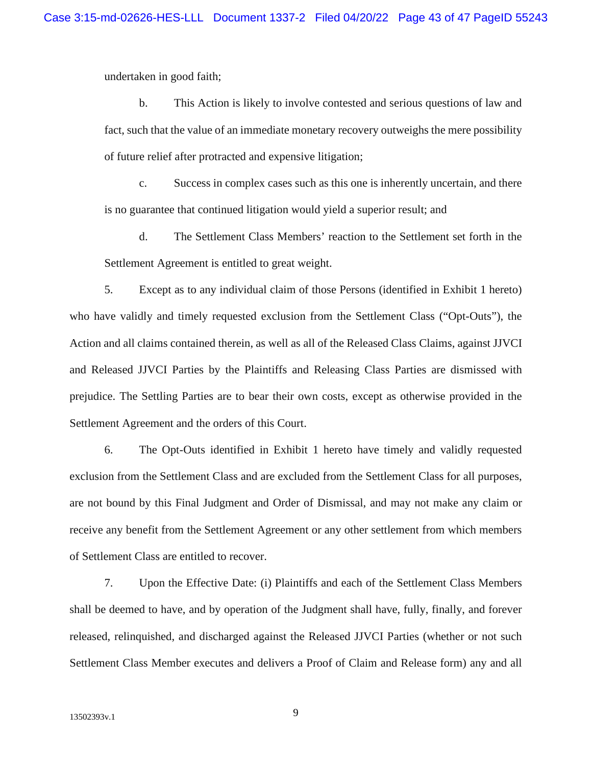undertaken in good faith;

b. This Action is likely to involve contested and serious questions of law and fact, such that the value of an immediate monetary recovery outweighs the mere possibility of future relief after protracted and expensive litigation;

c. Success in complex cases such as this one is inherently uncertain, and there is no guarantee that continued litigation would yield a superior result; and

d. The Settlement Class Members' reaction to the Settlement set forth in the Settlement Agreement is entitled to great weight.

5. Except as to any individual claim of those Persons (identified in Exhibit 1 hereto) who have validly and timely requested exclusion from the Settlement Class ("Opt-Outs"), the Action and all claims contained therein, as well as all of the Released Class Claims, against JJVCI and Released JJVCI Parties by the Plaintiffs and Releasing Class Parties are dismissed with prejudice. The Settling Parties are to bear their own costs, except as otherwise provided in the Settlement Agreement and the orders of this Court.

6. The Opt-Outs identified in Exhibit 1 hereto have timely and validly requested exclusion from the Settlement Class and are excluded from the Settlement Class for all purposes, are not bound by this Final Judgment and Order of Dismissal, and may not make any claim or receive any benefit from the Settlement Agreement or any other settlement from which members of Settlement Class are entitled to recover.

7. Upon the Effective Date: (i) Plaintiffs and each of the Settlement Class Members shall be deemed to have, and by operation of the Judgment shall have, fully, finally, and forever released, relinquished, and discharged against the Released JJVCI Parties (whether or not such Settlement Class Member executes and delivers a Proof of Claim and Release form) any and all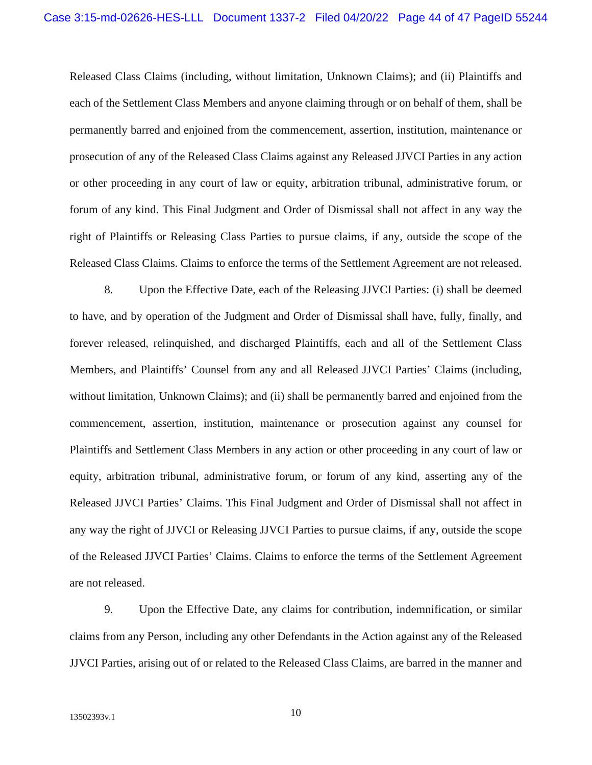Released Class Claims (including, without limitation, Unknown Claims); and (ii) Plaintiffs and each of the Settlement Class Members and anyone claiming through or on behalf of them, shall be permanently barred and enjoined from the commencement, assertion, institution, maintenance or prosecution of any of the Released Class Claims against any Released JJVCI Parties in any action or other proceeding in any court of law or equity, arbitration tribunal, administrative forum, or forum of any kind. This Final Judgment and Order of Dismissal shall not affect in any way the right of Plaintiffs or Releasing Class Parties to pursue claims, if any, outside the scope of the Released Class Claims. Claims to enforce the terms of the Settlement Agreement are not released.

8. Upon the Effective Date, each of the Releasing JJVCI Parties: (i) shall be deemed to have, and by operation of the Judgment and Order of Dismissal shall have, fully, finally, and forever released, relinquished, and discharged Plaintiffs, each and all of the Settlement Class Members, and Plaintiffs' Counsel from any and all Released JJVCI Parties' Claims (including, without limitation, Unknown Claims); and (ii) shall be permanently barred and enjoined from the commencement, assertion, institution, maintenance or prosecution against any counsel for Plaintiffs and Settlement Class Members in any action or other proceeding in any court of law or equity, arbitration tribunal, administrative forum, or forum of any kind, asserting any of the Released JJVCI Parties' Claims. This Final Judgment and Order of Dismissal shall not affect in any way the right of JJVCI or Releasing JJVCI Parties to pursue claims, if any, outside the scope of the Released JJVCI Parties' Claims. Claims to enforce the terms of the Settlement Agreement are not released.

9. Upon the Effective Date, any claims for contribution, indemnification, or similar claims from any Person, including any other Defendants in the Action against any of the Released JJVCI Parties, arising out of or related to the Released Class Claims, are barred in the manner and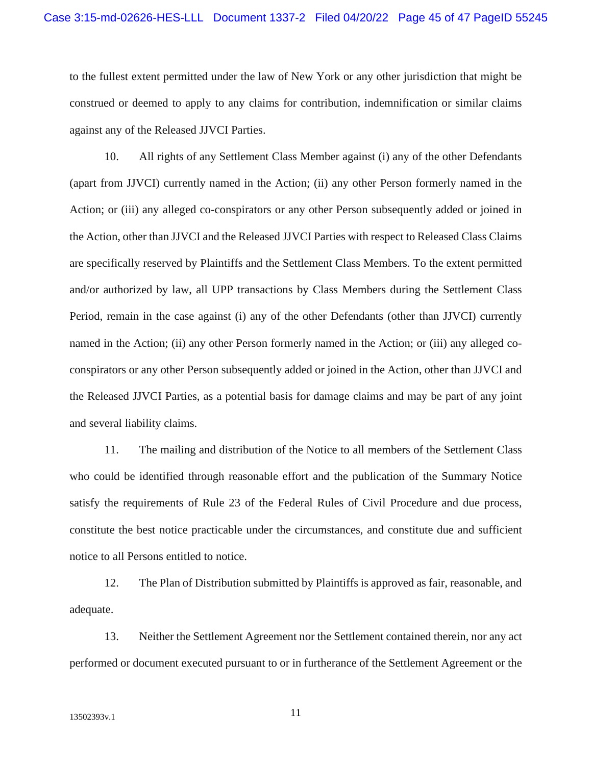to the fullest extent permitted under the law of New York or any other jurisdiction that might be construed or deemed to apply to any claims for contribution, indemnification or similar claims against any of the Released JJVCI Parties.

10. All rights of any Settlement Class Member against (i) any of the other Defendants (apart from JJVCI) currently named in the Action; (ii) any other Person formerly named in the Action; or (iii) any alleged co-conspirators or any other Person subsequently added or joined in the Action, other than JJVCI and the Released JJVCI Parties with respect to Released Class Claims are specifically reserved by Plaintiffs and the Settlement Class Members. To the extent permitted and/or authorized by law, all UPP transactions by Class Members during the Settlement Class Period, remain in the case against (i) any of the other Defendants (other than JJVCI) currently named in the Action; (ii) any other Person formerly named in the Action; or (iii) any alleged coconspirators or any other Person subsequently added or joined in the Action, other than JJVCI and the Released JJVCI Parties, as a potential basis for damage claims and may be part of any joint and several liability claims.

11. The mailing and distribution of the Notice to all members of the Settlement Class who could be identified through reasonable effort and the publication of the Summary Notice satisfy the requirements of Rule 23 of the Federal Rules of Civil Procedure and due process, constitute the best notice practicable under the circumstances, and constitute due and sufficient notice to all Persons entitled to notice.

12. The Plan of Distribution submitted by Plaintiffs is approved as fair, reasonable, and adequate.

13. Neither the Settlement Agreement nor the Settlement contained therein, nor any act performed or document executed pursuant to or in furtherance of the Settlement Agreement or the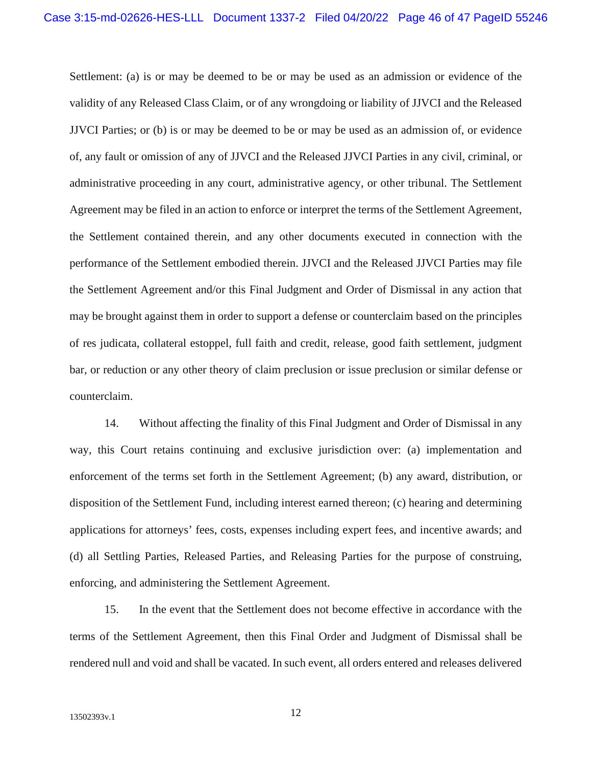Settlement: (a) is or may be deemed to be or may be used as an admission or evidence of the validity of any Released Class Claim, or of any wrongdoing or liability of JJVCI and the Released JJVCI Parties; or (b) is or may be deemed to be or may be used as an admission of, or evidence of, any fault or omission of any of JJVCI and the Released JJVCI Parties in any civil, criminal, or administrative proceeding in any court, administrative agency, or other tribunal. The Settlement Agreement may be filed in an action to enforce or interpret the terms of the Settlement Agreement, the Settlement contained therein, and any other documents executed in connection with the performance of the Settlement embodied therein. JJVCI and the Released JJVCI Parties may file the Settlement Agreement and/or this Final Judgment and Order of Dismissal in any action that may be brought against them in order to support a defense or counterclaim based on the principles of res judicata, collateral estoppel, full faith and credit, release, good faith settlement, judgment bar, or reduction or any other theory of claim preclusion or issue preclusion or similar defense or counterclaim.

14. Without affecting the finality of this Final Judgment and Order of Dismissal in any way, this Court retains continuing and exclusive jurisdiction over: (a) implementation and enforcement of the terms set forth in the Settlement Agreement; (b) any award, distribution, or disposition of the Settlement Fund, including interest earned thereon; (c) hearing and determining applications for attorneys' fees, costs, expenses including expert fees, and incentive awards; and (d) all Settling Parties, Released Parties, and Releasing Parties for the purpose of construing, enforcing, and administering the Settlement Agreement.

15. In the event that the Settlement does not become effective in accordance with the terms of the Settlement Agreement, then this Final Order and Judgment of Dismissal shall be rendered null and void and shall be vacated. In such event, all orders entered and releases delivered